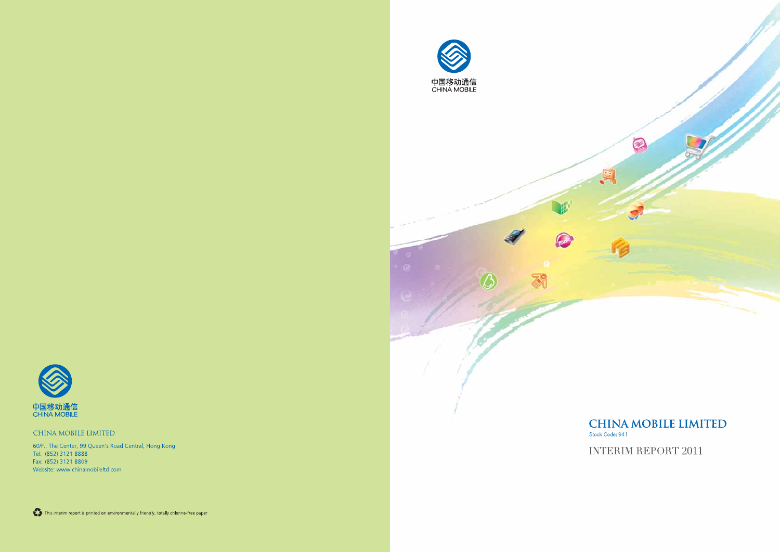

# **CHINA MOBILE LIMITED**

Stock Code: 941

**INTERIM REPORT 2011**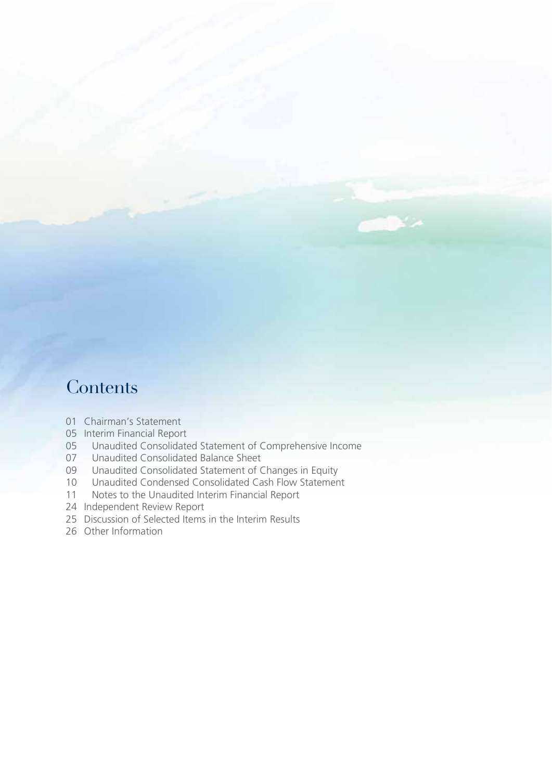# **Contents**

- 01 Chairman's Statement
- 05 Interim Financial Report
- 05 Unaudited Consolidated Statement of Comprehensive Income<br>07 Unaudited Consolidated Balance Sheet
- 07 Unaudited Consolidated Balance Sheet<br>09 Unaudited Consolidated Statement of C
- 09 Unaudited Consolidated Statement of Changes in Equity<br>10 Unaudited Condensed Consolidated Cash Flow Statemen
- 10 Unaudited Condensed Consolidated Cash Flow Statement<br>11 Notes to the Unaudited Interim Financial Report
- Notes to the Unaudited Interim Financial Report
- 24 Independent Review Report
- 25 Discussion of Selected Items in the Interim Results
- 26 Other Information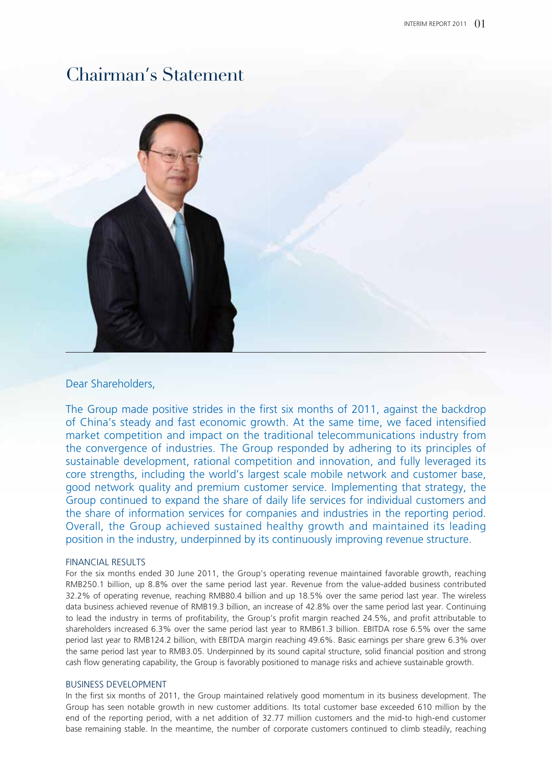

#### Dear Shareholders,

The Group made positive strides in the first six months of 2011, against the backdrop of China's steady and fast economic growth. At the same time, we faced intensified market competition and impact on the traditional telecommunications industry from the convergence of industries. The Group responded by adhering to its principles of sustainable development, rational competition and innovation, and fully leveraged its core strengths, including the world's largest scale mobile network and customer base, good network quality and premium customer service. Implementing that strategy, the Group continued to expand the share of daily life services for individual customers and the share of information services for companies and industries in the reporting period. Overall, the Group achieved sustained healthy growth and maintained its leading position in the industry, underpinned by its continuously improving revenue structure.

#### FINANCIAL RESULTS

For the six months ended 30 June 2011, the Group's operating revenue maintained favorable growth, reaching RMB250.1 billion, up 8.8% over the same period last year. Revenue from the value-added business contributed 32.2% of operating revenue, reaching RMB80.4 billion and up 18.5% over the same period last year. The wireless data business achieved revenue of RMB19.3 billion, an increase of 42.8% over the same period last year. Continuing to lead the industry in terms of profitability, the Group's profit margin reached 24.5%, and profit attributable to shareholders increased 6.3% over the same period last year to RMB61.3 billion. EBITDA rose 6.5% over the same period last year to RMB124.2 billion, with EBITDA margin reaching 49.6%. Basic earnings per share grew 6.3% over the same period last year to RMB3.05. Underpinned by its sound capital structure, solid financial position and strong cash flow generating capability, the Group is favorably positioned to manage risks and achieve sustainable growth.

#### BUSINESS DEVELOPMENT

In the first six months of 2011, the Group maintained relatively good momentum in its business development. The Group has seen notable growth in new customer additions. Its total customer base exceeded 610 million by the end of the reporting period, with a net addition of 32.77 million customers and the mid-to high-end customer base remaining stable. In the meantime, the number of corporate customers continued to climb steadily, reaching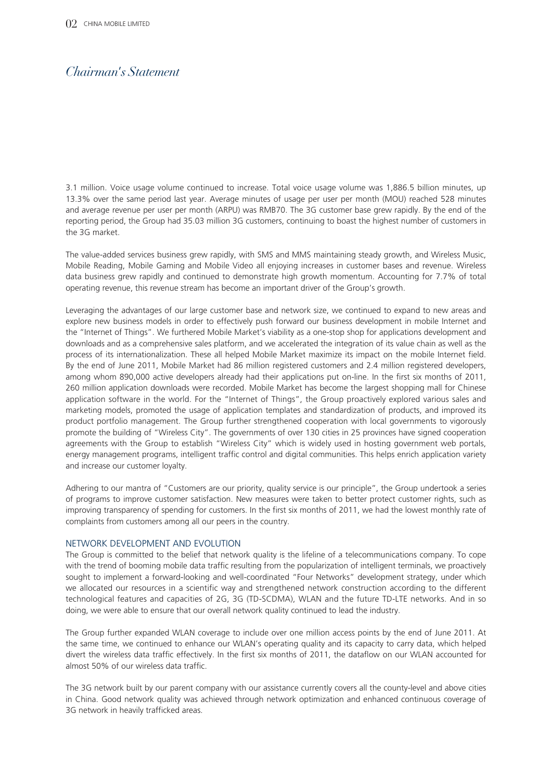3.1 million. Voice usage volume continued to increase. Total voice usage volume was 1,886.5 billion minutes, up 13.3% over the same period last year. Average minutes of usage per user per month (MOU) reached 528 minutes and average revenue per user per month (ARPU) was RMB70. The 3G customer base grew rapidly. By the end of the reporting period, the Group had 35.03 million 3G customers, continuing to boast the highest number of customers in the 3G market.

The value-added services business grew rapidly, with SMS and MMS maintaining steady growth, and Wireless Music, Mobile Reading, Mobile Gaming and Mobile Video all enjoying increases in customer bases and revenue. Wireless data business grew rapidly and continued to demonstrate high growth momentum. Accounting for 7.7% of total operating revenue, this revenue stream has become an important driver of the Group's growth.

Leveraging the advantages of our large customer base and network size, we continued to expand to new areas and explore new business models in order to effectively push forward our business development in mobile Internet and the "Internet of Things". We furthered Mobile Market's viability as a one-stop shop for applications development and downloads and as a comprehensive sales platform, and we accelerated the integration of its value chain as well as the process of its internationalization. These all helped Mobile Market maximize its impact on the mobile Internet field. By the end of June 2011, Mobile Market had 86 million registered customers and 2.4 million registered developers, among whom 890,000 active developers already had their applications put on-line. In the first six months of 2011, 260 million application downloads were recorded. Mobile Market has become the largest shopping mall for Chinese application software in the world. For the "Internet of Things", the Group proactively explored various sales and marketing models, promoted the usage of application templates and standardization of products, and improved its product portfolio management. The Group further strengthened cooperation with local governments to vigorously promote the building of "Wireless City". The governments of over 130 cities in 25 provinces have signed cooperation agreements with the Group to establish "Wireless City" which is widely used in hosting government web portals, energy management programs, intelligent traffic control and digital communities. This helps enrich application variety and increase our customer loyalty.

Adhering to our mantra of "Customers are our priority, quality service is our principle", the Group undertook a series of programs to improve customer satisfaction. New measures were taken to better protect customer rights, such as improving transparency of spending for customers. In the first six months of 2011, we had the lowest monthly rate of complaints from customers among all our peers in the country.

#### NETWORK DEVELOPMENT AND EVOLUTION

The Group is committed to the belief that network quality is the lifeline of a telecommunications company. To cope with the trend of booming mobile data traffic resulting from the popularization of intelligent terminals, we proactively sought to implement a forward-looking and well-coordinated "Four Networks" development strategy, under which we allocated our resources in a scientific way and strengthened network construction according to the different technological features and capacities of 2G, 3G (TD-SCDMA), WLAN and the future TD-LTE networks. And in so doing, we were able to ensure that our overall network quality continued to lead the industry.

The Group further expanded WLAN coverage to include over one million access points by the end of June 2011. At the same time, we continued to enhance our WLAN's operating quality and its capacity to carry data, which helped divert the wireless data traffic effectively. In the first six months of 2011, the dataflow on our WLAN accounted for almost 50% of our wireless data traffic.

The 3G network built by our parent company with our assistance currently covers all the county-level and above cities in China. Good network quality was achieved through network optimization and enhanced continuous coverage of 3G network in heavily trafficked areas.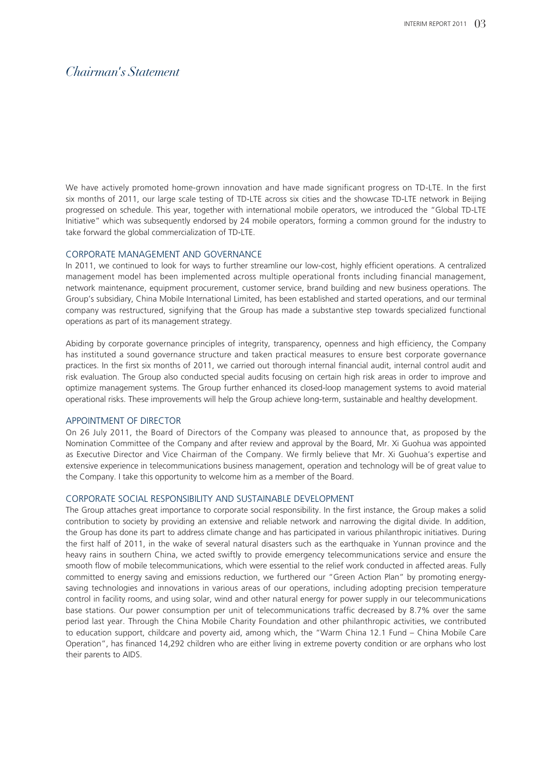We have actively promoted home-grown innovation and have made significant progress on TD-LTE. In the first six months of 2011, our large scale testing of TD-LTE across six cities and the showcase TD-LTE network in Beijing progressed on schedule. This year, together with international mobile operators, we introduced the "Global TD-LTE Initiative" which was subsequently endorsed by 24 mobile operators, forming a common ground for the industry to take forward the global commercialization of TD-LTE.

#### CORPORATE MANAGEMENT AND GOVERNANCE

In 2011, we continued to look for ways to further streamline our low-cost, highly efficient operations. A centralized management model has been implemented across multiple operational fronts including financial management, network maintenance, equipment procurement, customer service, brand building and new business operations. The Group's subsidiary, China Mobile International Limited, has been established and started operations, and our terminal company was restructured, signifying that the Group has made a substantive step towards specialized functional operations as part of its management strategy.

Abiding by corporate governance principles of integrity, transparency, openness and high efficiency, the Company has instituted a sound governance structure and taken practical measures to ensure best corporate governance practices. In the first six months of 2011, we carried out thorough internal financial audit, internal control audit and risk evaluation. The Group also conducted special audits focusing on certain high risk areas in order to improve and optimize management systems. The Group further enhanced its closed-loop management systems to avoid material operational risks. These improvements will help the Group achieve long-term, sustainable and healthy development.

#### APPOINTMENT OF DIRECTOR

On 26 July 2011, the Board of Directors of the Company was pleased to announce that, as proposed by the Nomination Committee of the Company and after review and approval by the Board, Mr. Xi Guohua was appointed as Executive Director and Vice Chairman of the Company. We firmly believe that Mr. Xi Guohua's expertise and extensive experience in telecommunications business management, operation and technology will be of great value to the Company. I take this opportunity to welcome him as a member of the Board.

#### CORPORATE SOCIAL RESPONSIBILITY AND SUSTAINABLE DEVELOPMENT

The Group attaches great importance to corporate social responsibility. In the first instance, the Group makes a solid contribution to society by providing an extensive and reliable network and narrowing the digital divide. In addition, the Group has done its part to address climate change and has participated in various philanthropic initiatives. During the first half of 2011, in the wake of several natural disasters such as the earthquake in Yunnan province and the heavy rains in southern China, we acted swiftly to provide emergency telecommunications service and ensure the smooth flow of mobile telecommunications, which were essential to the relief work conducted in affected areas. Fully committed to energy saving and emissions reduction, we furthered our "Green Action Plan" by promoting energysaving technologies and innovations in various areas of our operations, including adopting precision temperature control in facility rooms, and using solar, wind and other natural energy for power supply in our telecommunications base stations. Our power consumption per unit of telecommunications traffic decreased by 8.7% over the same period last year. Through the China Mobile Charity Foundation and other philanthropic activities, we contributed to education support, childcare and poverty aid, among which, the "Warm China 12.1 Fund – China Mobile Care Operation", has financed 14,292 children who are either living in extreme poverty condition or are orphans who lost their parents to AIDS.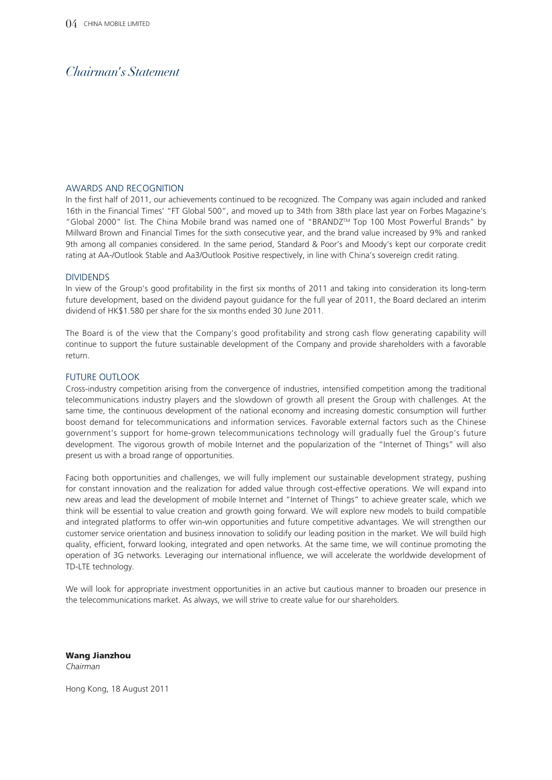#### AWARDS AND RECOGNITION

In the first half of 2011, our achievements continued to be recognized. The Company was again included and ranked 16th in the Financial Times' "FT Global 500", and moved up to 34th from 38th place last year on Forbes Magazine's "Global 2000" list. The China Mobile brand was named one of "BRANDZTM Top 100 Most Powerful Brands" by Millward Brown and Financial Times for the sixth consecutive year, and the brand value increased by 9% and ranked 9th among all companies considered. In the same period, Standard & Poor's and Moody's kept our corporate credit rating at AA-/Outlook Stable and Aa3/Outlook Positive respectively, in line with China's sovereign credit rating.

#### DIVIDENDS

In view of the Group's good profitability in the first six months of 2011 and taking into consideration its long-term future development, based on the dividend payout guidance for the full year of 2011, the Board declared an interim dividend of HK\$1.580 per share for the six months ended 30 June 2011.

The Board is of the view that the Company's good profitability and strong cash flow generating capability will continue to support the future sustainable development of the Company and provide shareholders with a favorable return.

#### FUTURE OUTLOOK

Cross-industry competition arising from the convergence of industries, intensified competition among the traditional telecommunications industry players and the slowdown of growth all present the Group with challenges. At the same time, the continuous development of the national economy and increasing domestic consumption will further boost demand for telecommunications and information services. Favorable external factors such as the Chinese government's support for home-grown telecommunications technology will gradually fuel the Group's future development. The vigorous growth of mobile Internet and the popularization of the "Internet of Things" will also present us with a broad range of opportunities.

Facing both opportunities and challenges, we will fully implement our sustainable development strategy, pushing for constant innovation and the realization for added value through cost-effective operations. We will expand into new areas and lead the development of mobile Internet and "Internet of Things" to achieve greater scale, which we think will be essential to value creation and growth going forward. We will explore new models to build compatible and integrated platforms to offer win-win opportunities and future competitive advantages. We will strengthen our customer service orientation and business innovation to solidify our leading position in the market. We will build high quality, efficient, forward looking, integrated and open networks. At the same time, we will continue promoting the operation of 3G networks. Leveraging our international influence, we will accelerate the worldwide development of TD-LTE technology.

We will look for appropriate investment opportunities in an active but cautious manner to broaden our presence in the telecommunications market. As always, we will strive to create value for our shareholders.

**Wang Jianzhou**

*Chairman*

Hong Kong, 18 August 2011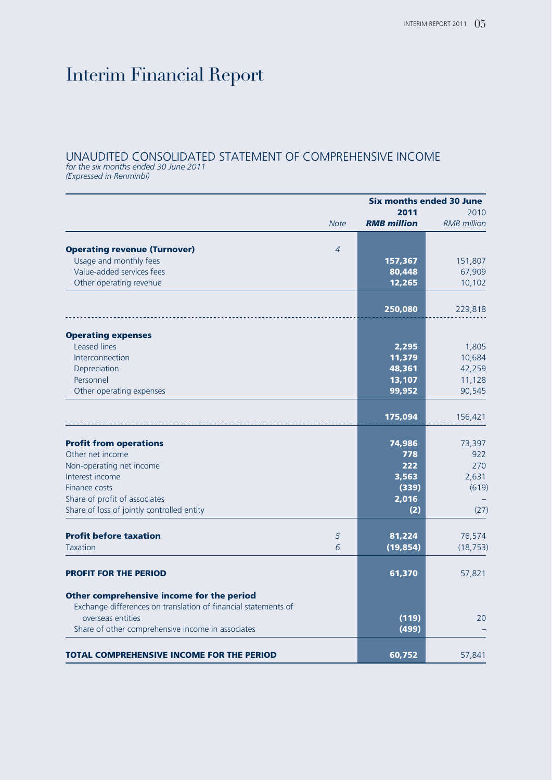# Interim Financial Report

### UNAUDITED CONSOLIDATED STATEMENT OF COMPREHENSIVE INCOME

*for the six months ended 30 June 2011 (Expressed in Renminbi)*

|                                                                                                             | <b>Six months ended 30 June</b> |                    |                    |  |
|-------------------------------------------------------------------------------------------------------------|---------------------------------|--------------------|--------------------|--|
|                                                                                                             |                                 | 2011               | 2010               |  |
|                                                                                                             | <b>Note</b>                     | <b>RMB</b> million | <b>RMB</b> million |  |
|                                                                                                             |                                 |                    |                    |  |
| <b>Operating revenue (Turnover)</b>                                                                         | $\overline{4}$                  |                    |                    |  |
| Usage and monthly fees<br>Value-added services fees                                                         |                                 | 157,367            | 151,807            |  |
|                                                                                                             |                                 | 80,448             | 67,909             |  |
| Other operating revenue                                                                                     |                                 | 12,265             | 10,102             |  |
|                                                                                                             |                                 | 250,080            | 229,818            |  |
| <b>Operating expenses</b>                                                                                   |                                 |                    |                    |  |
| Leased lines                                                                                                |                                 | 2,295              | 1,805              |  |
| Interconnection                                                                                             |                                 | 11,379             | 10,684             |  |
| Depreciation                                                                                                |                                 | 48,361             | 42,259             |  |
| Personnel                                                                                                   |                                 | 13,107             | 11,128             |  |
| Other operating expenses                                                                                    |                                 | 99,952             | 90,545             |  |
|                                                                                                             |                                 | 175,094            | 156,421            |  |
| <b>Profit from operations</b>                                                                               |                                 | 74,986             | 73,397             |  |
| Other net income                                                                                            |                                 | 778                | 922                |  |
| Non-operating net income                                                                                    |                                 | 222                | 270                |  |
| Interest income                                                                                             |                                 | 3,563              | 2,631              |  |
| Finance costs                                                                                               |                                 | (339)              | (619)              |  |
| Share of profit of associates                                                                               |                                 | 2,016              |                    |  |
| Share of loss of jointly controlled entity                                                                  |                                 | (2)                | (27)               |  |
|                                                                                                             |                                 |                    |                    |  |
| <b>Profit before taxation</b>                                                                               | 5                               | 81,224             | 76,574             |  |
| <b>Taxation</b>                                                                                             | 6                               | (19, 854)          | (18, 753)          |  |
| <b>PROFIT FOR THE PERIOD</b>                                                                                |                                 | 61,370             | 57,821             |  |
| Other comprehensive income for the period<br>Exchange differences on translation of financial statements of |                                 |                    |                    |  |
| overseas entities                                                                                           |                                 | (119)              | 20                 |  |
| Share of other comprehensive income in associates                                                           |                                 | (499)              |                    |  |
|                                                                                                             |                                 |                    |                    |  |
| <b>TOTAL COMPREHENSIVE INCOME FOR THE PERIOD</b>                                                            |                                 | 60,752             | 57,841             |  |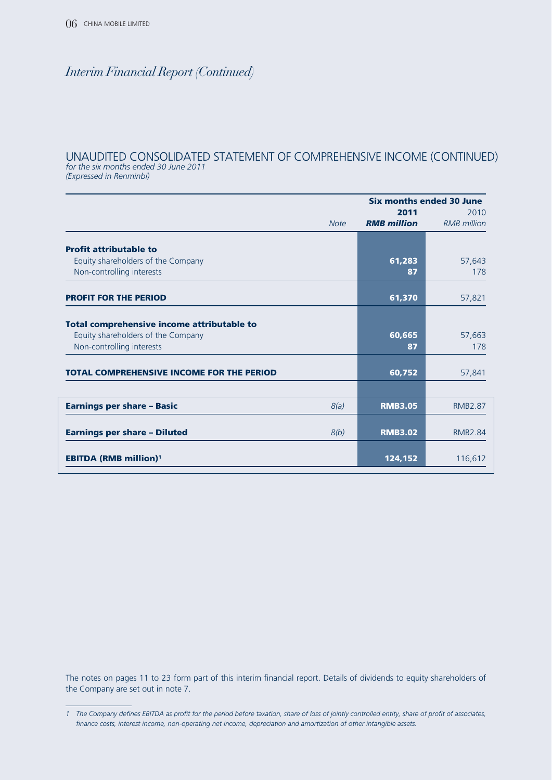### UNAUDITED CONSOLIDATED STATEMENT OF COMPREHENSIVE INCOME (CONTINUED) *for the six months ended 30 June 2011*

*(Expressed in Renminbi)*

|                                                                                                               | Six months ended 30 June   |                            |  |
|---------------------------------------------------------------------------------------------------------------|----------------------------|----------------------------|--|
| <b>Note</b>                                                                                                   | 2011<br><b>RMB</b> million | 2010<br><b>RMB</b> million |  |
| <b>Profit attributable to</b>                                                                                 |                            |                            |  |
| Equity shareholders of the Company<br>Non-controlling interests                                               | 61,283<br>87               | 57,643<br>178              |  |
| <b>PROFIT FOR THE PERIOD</b>                                                                                  | 61,370                     | 57,821                     |  |
| Total comprehensive income attributable to<br>Equity shareholders of the Company<br>Non-controlling interests | 60,665<br>87               | 57,663<br>178              |  |
| <b>TOTAL COMPREHENSIVE INCOME FOR THE PERIOD</b>                                                              | 60,752                     | 57,841                     |  |
|                                                                                                               |                            |                            |  |
| <b>Earnings per share - Basic</b><br>8(a)                                                                     | <b>RMB3.05</b>             | <b>RMB2.87</b>             |  |
| <b>Earnings per share - Diluted</b><br>8(b)                                                                   | <b>RMB3.02</b>             | <b>RMB2.84</b>             |  |
| <b>EBITDA (RMB million)<sup>1</sup></b>                                                                       | 124,152                    | 116,612                    |  |

The notes on pages 11 to 23 form part of this interim financial report. Details of dividends to equity shareholders of the Company are set out in note 7.

*<sup>1</sup> The Company defines EBITDA as profit for the period before taxation, share of loss of jointly controlled entity, share of profit of associates, finance costs, interest income, non-operating net income, depreciation and amortization of other intangible assets.*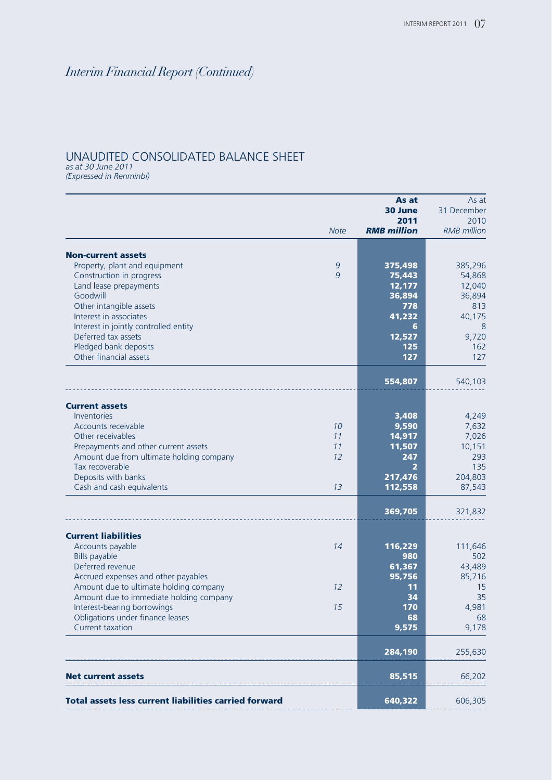### UNAUDITED CONSOLIDATED BALANCE SHEET

*as at 30 June 2011 (Expressed in Renminbi)*

|                                                                        |                    | As at              | As at               |
|------------------------------------------------------------------------|--------------------|--------------------|---------------------|
|                                                                        |                    | 30 June<br>2011    | 31 December<br>2010 |
|                                                                        | <b>Note</b>        | <b>RMB</b> million | <b>RMB</b> million  |
|                                                                        |                    |                    |                     |
| <b>Non-current assets</b>                                              |                    |                    |                     |
| Property, plant and equipment<br>Construction in progress              | $\mathcal{G}$<br>9 | 375,498<br>75,443  | 385,296<br>54,868   |
| Land lease prepayments                                                 |                    | 12,177             | 12,040              |
| Goodwill                                                               |                    | 36,894             | 36,894              |
| Other intangible assets                                                |                    | 778                | 813                 |
| Interest in associates                                                 |                    | 41,232             | 40,175              |
| Interest in jointly controlled entity                                  |                    | 6                  | 8                   |
| Deferred tax assets                                                    |                    | 12,527             | 9,720               |
| Pledged bank deposits                                                  |                    | 125                | 162                 |
| Other financial assets                                                 |                    | 127                | 127                 |
|                                                                        |                    | 554,807            | 540,103             |
|                                                                        |                    |                    |                     |
| <b>Current assets</b><br>Inventories                                   |                    | 3,408              | 4,249               |
| Accounts receivable                                                    | 10                 | 9,590              | 7,632               |
| Other receivables                                                      | 11                 | 14,917             | 7,026               |
| Prepayments and other current assets                                   | 11                 | 11,507             | 10,151              |
| Amount due from ultimate holding company                               | 12                 | 247                | 293                 |
| Tax recoverable                                                        |                    | 2                  | 135                 |
| Deposits with banks                                                    |                    | 217,476            | 204,803             |
| Cash and cash equivalents                                              | 13                 | 112,558            | 87,543              |
|                                                                        |                    | 369,705            | 321,832             |
|                                                                        |                    |                    |                     |
| <b>Current liabilities</b><br>Accounts payable                         | 14                 | 116,229            | 111,646             |
| Bills payable                                                          |                    | 980                | 502                 |
| Deferred revenue                                                       |                    | 61,367             | 43,489              |
| Accrued expenses and other payables                                    |                    | 95,756             | 85,716              |
| Amount due to ultimate holding company                                 | 12                 | 11                 | 15                  |
| Amount due to immediate holding company<br>Interest-bearing borrowings | 15                 | 34<br>170          | 35<br>4,981         |
| Obligations under finance leases                                       |                    | 68                 | 68                  |
| Current taxation                                                       |                    | 9,575              | 9,178               |
|                                                                        |                    |                    |                     |
|                                                                        |                    | 284,190            | 255,630             |
| let current assets                                                     |                    | 85,515             | 66,202              |
| Total assets less current liabilities carried forward                  |                    | 640,322            |                     |
|                                                                        |                    |                    | 606,305             |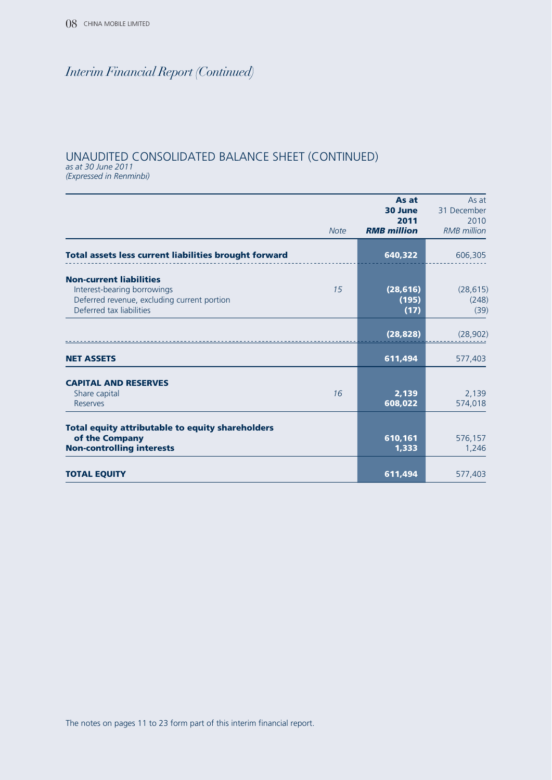## UNAUDITED CONSOLIDATED BALANCE SHEET (CONTINUED)

*as at 30 June 2011 (Expressed in Renminbi)*

|                                                                                                                                          | <b>Note</b> | As at<br>30 June<br>2011<br><b>RMB</b> million | As at<br>31 December<br>2010<br><b>RMB</b> million |
|------------------------------------------------------------------------------------------------------------------------------------------|-------------|------------------------------------------------|----------------------------------------------------|
| Total assets less current liabilities brought forward                                                                                    |             | 640,322                                        | 606,305                                            |
| <b>Non-current liabilities</b><br>Interest-bearing borrowings<br>Deferred revenue, excluding current portion<br>Deferred tax liabilities | 15          | (28, 616)<br>(195)<br>(17)                     | (28, 615)<br>(248)<br>(39)                         |
|                                                                                                                                          |             | (28, 828)                                      | (28, 902)                                          |
| <b>NET ASSETS</b>                                                                                                                        |             | 611,494                                        | 577,403                                            |
| <b>CAPITAL AND RESERVES</b><br>Share capital<br>Reserves                                                                                 | 16          | 2,139<br>608,022                               | 2,139<br>574,018                                   |
| <b>Total equity attributable to equity shareholders</b><br>of the Company<br><b>Non-controlling interests</b>                            |             | 610,161<br>1,333                               | 576,157<br>1,246                                   |
| <b>TOTAL EQUITY</b>                                                                                                                      |             | 611,494                                        | 577,403                                            |

The notes on pages 11 to 23 form part of this interim financial report.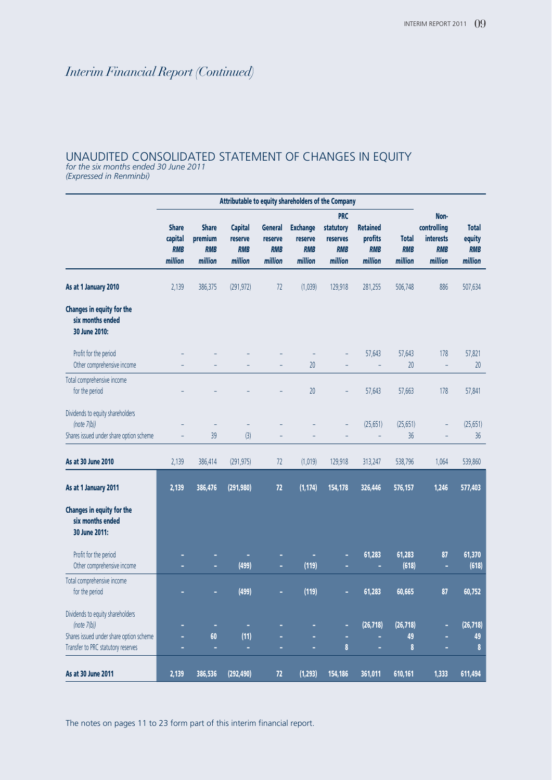## UNAUDITED CONSOLIDATED STATEMENT OF CHANGES IN EQUITY

*for the six months ended 30 June 2011 (Expressed in Renminbi)*

|                                                                                               | Attributable to equity shareholders of the Company |                                                  |                                                    |                                                    |                                                     |                                                              |                                                     |                                       |                                                                  |                                                 |
|-----------------------------------------------------------------------------------------------|----------------------------------------------------|--------------------------------------------------|----------------------------------------------------|----------------------------------------------------|-----------------------------------------------------|--------------------------------------------------------------|-----------------------------------------------------|---------------------------------------|------------------------------------------------------------------|-------------------------------------------------|
|                                                                                               | <b>Share</b><br>capital<br><b>RMB</b><br>million   | <b>Share</b><br>premium<br><b>RMB</b><br>million | <b>Capital</b><br>reserve<br><b>RMB</b><br>million | <b>General</b><br>reserve<br><b>RMB</b><br>million | <b>Exchange</b><br>reserve<br><b>RMB</b><br>million | <b>PRC</b><br>statutory<br>reserves<br><b>RMB</b><br>million | <b>Retained</b><br>profits<br><b>RMB</b><br>million | <b>Total</b><br><b>RMB</b><br>million | Non-<br>controlling<br><b>interests</b><br><b>RMB</b><br>million | <b>Total</b><br>equity<br><b>RMB</b><br>million |
| As at 1 January 2010                                                                          | 2,139                                              | 386,375                                          | (291, 972)                                         | 72                                                 | (1,039)                                             | 129,918                                                      | 281,255                                             | 506,748                               | 886                                                              | 507,634                                         |
| Changes in equity for the<br>six months ended<br>30 June 2010:                                |                                                    |                                                  |                                                    |                                                    |                                                     |                                                              |                                                     |                                       |                                                                  |                                                 |
| Profit for the period<br>Other comprehensive income                                           |                                                    |                                                  |                                                    |                                                    | 20                                                  |                                                              | 57,643                                              | 57,643<br>20                          | 178                                                              | 57,821<br>20                                    |
| Total comprehensive income<br>for the period                                                  |                                                    |                                                  |                                                    |                                                    | 20                                                  |                                                              | 57,643                                              | 57,663                                | 178                                                              | 57,841                                          |
| Dividends to equity shareholders<br>(note $7(b)$ )<br>Shares issued under share option scheme |                                                    | 39                                               | (3)                                                |                                                    |                                                     |                                                              | (25, 651)<br>$\frac{1}{2}$                          | (25, 651)<br>36                       |                                                                  | (25, 651)<br>36                                 |
| As at 30 June 2010                                                                            | 2,139                                              | 386,414                                          | (291, 975)                                         | 72                                                 | (1,019)                                             | 129,918                                                      | 313,247                                             | 538,796                               | 1,064                                                            | 539,860                                         |
| As at 1 January 2011                                                                          | 2,139                                              | 386,476                                          | (291, 980)                                         | 72                                                 | (1, 174)                                            | 154,178                                                      | 326,446                                             | 576,157                               | 1,246                                                            | 577,403                                         |
| Changes in equity for the<br>six months ended<br>30 June 2011:                                |                                                    |                                                  |                                                    |                                                    |                                                     |                                                              |                                                     |                                       |                                                                  |                                                 |
| Profit for the period<br>Other comprehensive income                                           |                                                    |                                                  | (499)                                              |                                                    | (119)                                               |                                                              | 61,283                                              | 61,283<br>(618)                       | 87<br>÷                                                          | 61,370<br>(618)                                 |
| Total comprehensive income<br>for the period                                                  |                                                    |                                                  | (499)                                              | ä,                                                 | (119)                                               |                                                              | 61,283                                              | 60,665                                | 87                                                               | 60,752                                          |
| Dividends to equity shareholders<br>(note $7(b)$ )                                            |                                                    | ٠                                                | ٠                                                  |                                                    |                                                     | ÷,                                                           | (26, 718)                                           | (26, 718)                             | Ė                                                                | (26, 718)                                       |
| Shares issued under share option scheme<br>Transfer to PRC statutory reserves                 | ÷,                                                 | 60<br>٠                                          | (11)<br>÷                                          | ä,                                                 | ÷,                                                  | 8                                                            |                                                     | 49<br>8                               |                                                                  | 49<br>8                                         |
| As at 30 June 2011                                                                            | 2,139                                              | 386,536                                          | (292, 490)                                         | 72                                                 | (1, 293)                                            | 154,186                                                      | 361,011                                             | 610,161                               | 1,333                                                            | 611,494                                         |

The notes on pages 11 to 23 form part of this interim financial report.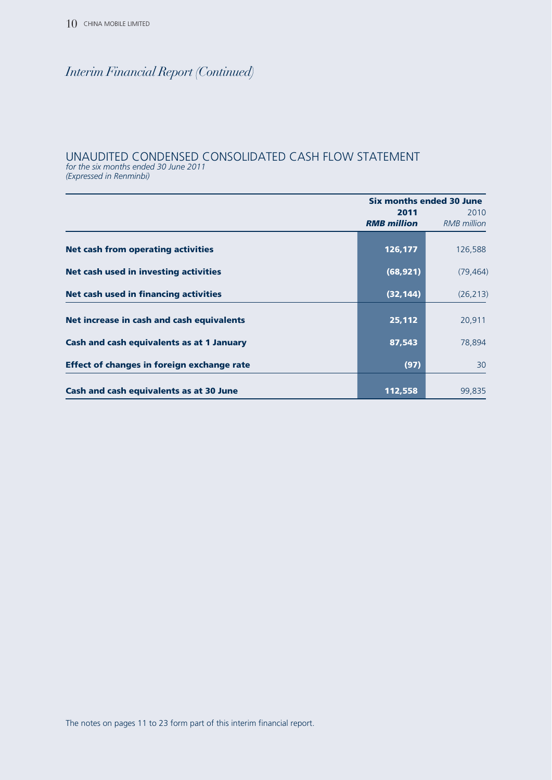## UNAUDITED CONDENSED CONSOLIDATED CASH FLOW STATEMENT

*for the six months ended 30 June 2011*

*(Expressed in Renminbi)*

|                                                   | Six months ended 30 June |                    |  |
|---------------------------------------------------|--------------------------|--------------------|--|
|                                                   | 2011                     | 2010               |  |
|                                                   | <b>RMB</b> million       | <b>RMB</b> million |  |
|                                                   |                          |                    |  |
| <b>Net cash from operating activities</b>         | 126,177                  | 126,588            |  |
|                                                   |                          |                    |  |
| <b>Net cash used in investing activities</b>      | (68, 921)                | (79, 464)          |  |
| <b>Net cash used in financing activities</b>      | (32, 144)                | (26, 213)          |  |
|                                                   |                          |                    |  |
| Net increase in cash and cash equivalents         | 25,112                   | 20,911             |  |
|                                                   |                          |                    |  |
| Cash and cash equivalents as at 1 January         | 87,543                   | 78,894             |  |
|                                                   |                          |                    |  |
| <b>Effect of changes in foreign exchange rate</b> | (97)                     | 30                 |  |
|                                                   |                          |                    |  |
| Cash and cash equivalents as at 30 June           | 112,558                  | 99,835             |  |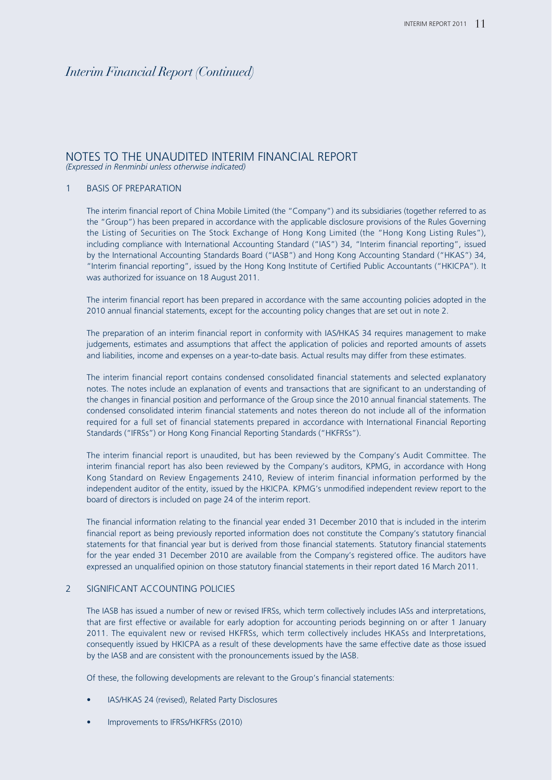#### NOTES TO THE UNAUDITED INTERIM FINANCIAL REPORT *(Expressed in Renminbi unless otherwise indicated)*

#### 1 BASIS OF PREPARATION

The interim financial report of China Mobile Limited (the "Company") and its subsidiaries (together referred to as the "Group") has been prepared in accordance with the applicable disclosure provisions of the Rules Governing the Listing of Securities on The Stock Exchange of Hong Kong Limited (the "Hong Kong Listing Rules"), including compliance with International Accounting Standard ("IAS") 34, "Interim financial reporting", issued by the International Accounting Standards Board ("IASB") and Hong Kong Accounting Standard ("HKAS") 34, "Interim financial reporting", issued by the Hong Kong Institute of Certified Public Accountants ("HKICPA"). It was authorized for issuance on 18 August 2011.

The interim financial report has been prepared in accordance with the same accounting policies adopted in the 2010 annual financial statements, except for the accounting policy changes that are set out in note 2.

The preparation of an interim financial report in conformity with IAS/HKAS 34 requires management to make judgements, estimates and assumptions that affect the application of policies and reported amounts of assets and liabilities, income and expenses on a year-to-date basis. Actual results may differ from these estimates.

The interim financial report contains condensed consolidated financial statements and selected explanatory notes. The notes include an explanation of events and transactions that are significant to an understanding of the changes in financial position and performance of the Group since the 2010 annual financial statements. The condensed consolidated interim financial statements and notes thereon do not include all of the information required for a full set of financial statements prepared in accordance with International Financial Reporting Standards ("IFRSs") or Hong Kong Financial Reporting Standards ("HKFRSs").

The interim financial report is unaudited, but has been reviewed by the Company's Audit Committee. The interim financial report has also been reviewed by the Company's auditors, KPMG, in accordance with Hong Kong Standard on Review Engagements 2410, Review of interim financial information performed by the independent auditor of the entity, issued by the HKICPA. KPMG's unmodified independent review report to the board of directors is included on page 24 of the interim report.

The financial information relating to the financial year ended 31 December 2010 that is included in the interim financial report as being previously reported information does not constitute the Company's statutory financial statements for that financial year but is derived from those financial statements. Statutory financial statements for the year ended 31 December 2010 are available from the Company's registered office. The auditors have expressed an unqualified opinion on those statutory financial statements in their report dated 16 March 2011.

#### 2 SIGNIFICANT ACCOUNTING POLICIES

The IASB has issued a number of new or revised IFRSs, which term collectively includes IASs and interpretations, that are first effective or available for early adoption for accounting periods beginning on or after 1 January 2011. The equivalent new or revised HKFRSs, which term collectively includes HKASs and Interpretations, consequently issued by HKICPA as a result of these developments have the same effective date as those issued by the IASB and are consistent with the pronouncements issued by the IASB.

Of these, the following developments are relevant to the Group's financial statements:

- IAS/HKAS 24 (revised), Related Party Disclosures
- Improvements to IFRSs/HKFRSs (2010)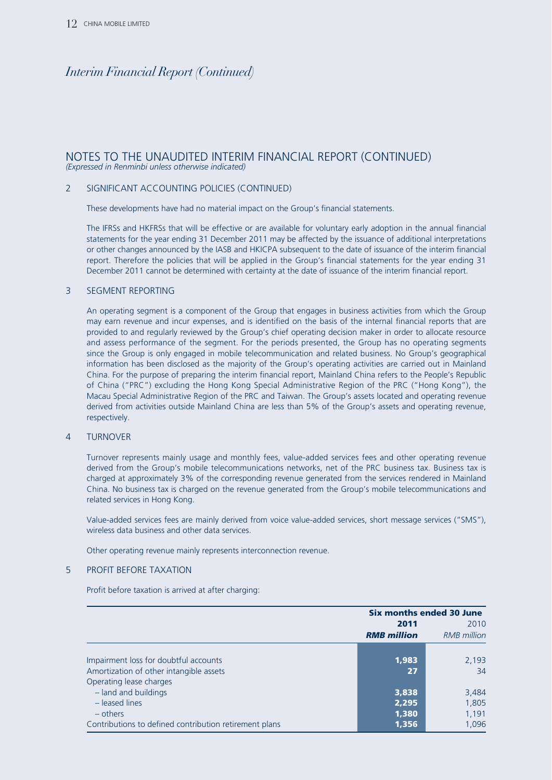#### NOTES TO THE UNAUDITED INTERIM FINANCIAL REPORT (CONTINUED) *(Expressed in Renminbi unless otherwise indicated)*

#### 2 SIGNIFICANT ACCOUNTING POLICIES (CONTINUED)

These developments have had no material impact on the Group's financial statements.

The IFRSs and HKFRSs that will be effective or are available for voluntary early adoption in the annual financial statements for the year ending 31 December 2011 may be affected by the issuance of additional interpretations or other changes announced by the IASB and HKICPA subsequent to the date of issuance of the interim financial report. Therefore the policies that will be applied in the Group's financial statements for the year ending 31 December 2011 cannot be determined with certainty at the date of issuance of the interim financial report.

#### 3 SEGMENT REPORTING

An operating segment is a component of the Group that engages in business activities from which the Group may earn revenue and incur expenses, and is identified on the basis of the internal financial reports that are provided to and regularly reviewed by the Group's chief operating decision maker in order to allocate resource and assess performance of the segment. For the periods presented, the Group has no operating segments since the Group is only engaged in mobile telecommunication and related business. No Group's geographical information has been disclosed as the majority of the Group's operating activities are carried out in Mainland China. For the purpose of preparing the interim financial report, Mainland China refers to the People's Republic of China ("PRC") excluding the Hong Kong Special Administrative Region of the PRC ("Hong Kong"), the Macau Special Administrative Region of the PRC and Taiwan. The Group's assets located and operating revenue derived from activities outside Mainland China are less than 5% of the Group's assets and operating revenue, respectively.

#### 4 TURNOVER

Turnover represents mainly usage and monthly fees, value-added services fees and other operating revenue derived from the Group's mobile telecommunications networks, net of the PRC business tax. Business tax is charged at approximately 3% of the corresponding revenue generated from the services rendered in Mainland China. No business tax is charged on the revenue generated from the Group's mobile telecommunications and related services in Hong Kong.

Value-added services fees are mainly derived from voice value-added services, short message services ("SMS"), wireless data business and other data services.

Other operating revenue mainly represents interconnection revenue.

#### 5 PROFIT BEFORE TAXATION

Profit before taxation is arrived at after charging:

|                                                        | <b>Six months ended 30 June</b> |                    |  |
|--------------------------------------------------------|---------------------------------|--------------------|--|
|                                                        | 2011                            | 2010               |  |
|                                                        | <b>RMB</b> million              | <b>RMB</b> million |  |
|                                                        |                                 |                    |  |
| Impairment loss for doubtful accounts                  | 1,983                           | 2,193              |  |
| Amortization of other intangible assets                | 27                              | 34                 |  |
| Operating lease charges                                |                                 |                    |  |
| - land and buildings                                   | 3,838                           | 3,484              |  |
| - leased lines                                         | 2,295                           | 1,805              |  |
| – others                                               | 1,380                           | 1,191              |  |
| Contributions to defined contribution retirement plans | 1,356                           | 1.096              |  |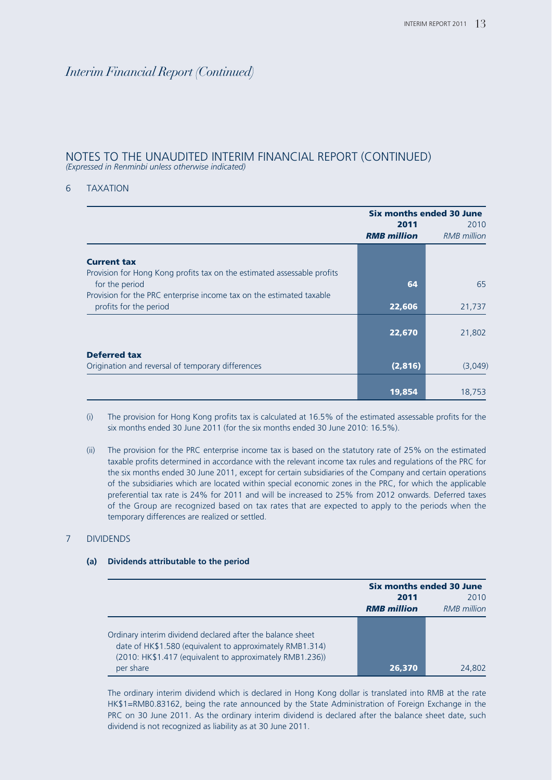#### NOTES TO THE UNAUDITED INTERIM FINANCIAL REPORT (CONTINUED) *(Expressed in Renminbi unless otherwise indicated)*

#### 6 TAXATION

|                                                                                                | Six months ended 30 June<br>2011 |                            |  |
|------------------------------------------------------------------------------------------------|----------------------------------|----------------------------|--|
|                                                                                                | <b>RMB</b> million               | 2010<br><b>RMB</b> million |  |
| <b>Current tax</b>                                                                             |                                  |                            |  |
| Provision for Hong Kong profits tax on the estimated assessable profits<br>for the period      | 64                               | 65                         |  |
| Provision for the PRC enterprise income tax on the estimated taxable<br>profits for the period | 22,606                           | 21,737                     |  |
|                                                                                                | 22,670                           | 21,802                     |  |
| <b>Deferred tax</b><br>Origination and reversal of temporary differences                       | (2,816)                          | (3,049)                    |  |
|                                                                                                | 19,854                           | 18,753                     |  |

(i) The provision for Hong Kong profits tax is calculated at 16.5% of the estimated assessable profits for the six months ended 30 June 2011 (for the six months ended 30 June 2010: 16.5%).

(ii) The provision for the PRC enterprise income tax is based on the statutory rate of 25% on the estimated taxable profits determined in accordance with the relevant income tax rules and regulations of the PRC for the six months ended 30 June 2011, except for certain subsidiaries of the Company and certain operations of the subsidiaries which are located within special economic zones in the PRC, for which the applicable preferential tax rate is 24% for 2011 and will be increased to 25% from 2012 onwards. Deferred taxes of the Group are recognized based on tax rates that are expected to apply to the periods when the temporary differences are realized or settled.

#### 7 DIVIDENDS

|                                                                                                                                                                                                 | <b>Six months ended 30 June</b> |             |  |
|-------------------------------------------------------------------------------------------------------------------------------------------------------------------------------------------------|---------------------------------|-------------|--|
|                                                                                                                                                                                                 | 2011                            |             |  |
|                                                                                                                                                                                                 | <b>RMB</b> million              | RMB million |  |
| Ordinary interim dividend declared after the balance sheet<br>date of HK\$1.580 (equivalent to approximately RMB1.314)<br>(2010: HK\$1.417 (equivalent to approximately RMB1.236))<br>per share | 26.370                          | 24.802      |  |

**(a) Dividends attributable to the period**

The ordinary interim dividend which is declared in Hong Kong dollar is translated into RMB at the rate HK\$1=RMB0.83162, being the rate announced by the State Administration of Foreign Exchange in the PRC on 30 June 2011. As the ordinary interim dividend is declared after the balance sheet date, such dividend is not recognized as liability as at 30 June 2011.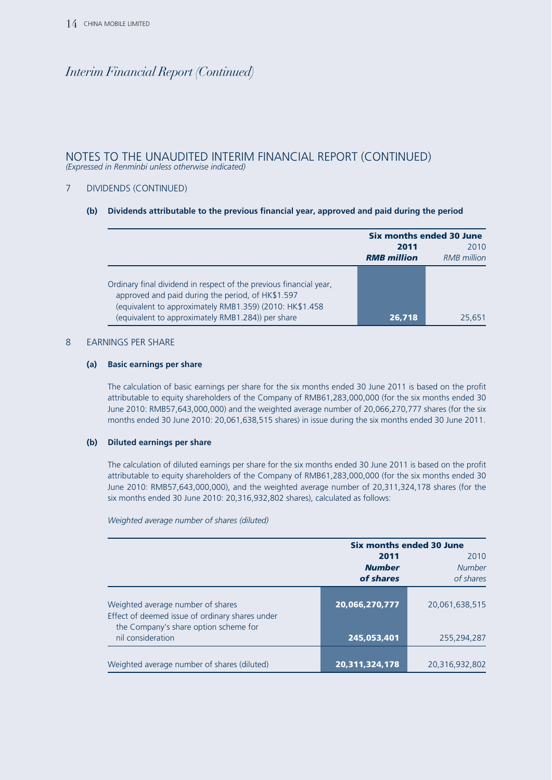#### NOTES TO THE UNAUDITED INTERIM FINANCIAL REPORT (CONTINUED) *(Expressed in Renminbi unless otherwise indicated)*

#### 7 DIVIDENDS (CONTINUED)

#### **(b) Dividends attributable to the previous financial year, approved and paid during the period**

|                                                                                                                                                                                                                                         | Six months ended 30 June |             |  |
|-----------------------------------------------------------------------------------------------------------------------------------------------------------------------------------------------------------------------------------------|--------------------------|-------------|--|
|                                                                                                                                                                                                                                         | 2010<br>2011             |             |  |
|                                                                                                                                                                                                                                         | <b>RMB</b> million       | RMB million |  |
| Ordinary final dividend in respect of the previous financial year,<br>approved and paid during the period, of HK\$1.597<br>(equivalent to approximately RMB1.359) (2010: HK\$1.458<br>(equivalent to approximately RMB1.284)) per share | 26,718                   | 25.651      |  |

#### 8 EARNINGS PER SHARE

#### **(a) Basic earnings per share**

The calculation of basic earnings per share for the six months ended 30 June 2011 is based on the profit attributable to equity shareholders of the Company of RMB61,283,000,000 (for the six months ended 30 June 2010: RMB57,643,000,000) and the weighted average number of 20,066,270,777 shares (for the six months ended 30 June 2010: 20,061,638,515 shares) in issue during the six months ended 30 June 2011.

#### **(b) Diluted earnings per share**

The calculation of diluted earnings per share for the six months ended 30 June 2011 is based on the profit attributable to equity shareholders of the Company of RMB61,283,000,000 (for the six months ended 30 June 2010: RMB57,643,000,000), and the weighted average number of 20,311,324,178 shares (for the six months ended 30 June 2010: 20,316,932,802 shares), calculated as follows:

*Weighted average number of shares (diluted)*

|                                                                                                                               |                | <b>Six months ended 30 June</b> |  |  |
|-------------------------------------------------------------------------------------------------------------------------------|----------------|---------------------------------|--|--|
|                                                                                                                               | 2011           | 2010                            |  |  |
|                                                                                                                               | <b>Number</b>  | <b>Number</b>                   |  |  |
|                                                                                                                               | of shares      | of shares                       |  |  |
| Weighted average number of shares<br>Effect of deemed issue of ordinary shares under<br>the Company's share option scheme for | 20,066,270,777 | 20,061,638,515                  |  |  |
| nil consideration                                                                                                             | 245,053,401    | 255,294,287                     |  |  |
| Weighted average number of shares (diluted)                                                                                   | 20,311,324,178 | 20,316,932,802                  |  |  |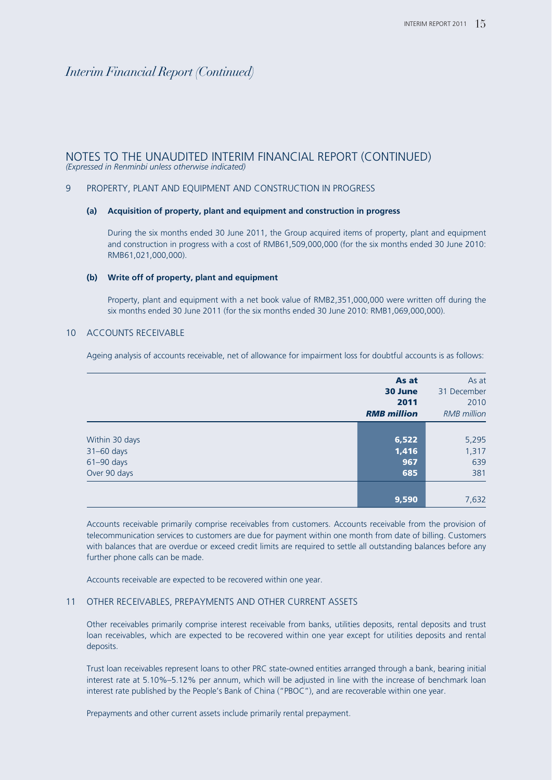#### NOTES TO THE UNAUDITED INTERIM FINANCIAL REPORT (CONTINUED) *(Expressed in Renminbi unless otherwise indicated)*

#### 9 PROPERTY, PLANT AND EQUIPMENT AND CONSTRUCTION IN PROGRESS

#### **(a) Acquisition of property, plant and equipment and construction in progress**

During the six months ended 30 June 2011, the Group acquired items of property, plant and equipment and construction in progress with a cost of RMB61,509,000,000 (for the six months ended 30 June 2010: RMB61,021,000,000).

#### **(b) Write off of property, plant and equipment**

Property, plant and equipment with a net book value of RMB2,351,000,000 were written off during the six months ended 30 June 2011 (for the six months ended 30 June 2010: RMB1,069,000,000).

#### 10 ACCOUNTS RECEIVABLE

Ageing analysis of accounts receivable, net of allowance for impairment loss for doubtful accounts is as follows:

|                | As at              | As at              |
|----------------|--------------------|--------------------|
|                | 30 June            | 31 December        |
|                | 2011               | 2010               |
|                | <b>RMB</b> million | <b>RMB</b> million |
|                |                    |                    |
| Within 30 days | 6,522              | 5,295              |
| 31-60 days     | 1,416              | 1,317              |
| $61 - 90$ days | 967                | 639                |
| Over 90 days   | 685                | 381                |
|                |                    |                    |
|                | 9,590              | 7,632              |

Accounts receivable primarily comprise receivables from customers. Accounts receivable from the provision of telecommunication services to customers are due for payment within one month from date of billing. Customers with balances that are overdue or exceed credit limits are required to settle all outstanding balances before any further phone calls can be made.

Accounts receivable are expected to be recovered within one year.

#### 11 OTHER RECEIVABLES, PREPAYMENTS AND OTHER CURRENT ASSETS

Other receivables primarily comprise interest receivable from banks, utilities deposits, rental deposits and trust loan receivables, which are expected to be recovered within one year except for utilities deposits and rental deposits.

Trust loan receivables represent loans to other PRC state-owned entities arranged through a bank, bearing initial interest rate at 5.10%–5.12% per annum, which will be adjusted in line with the increase of benchmark loan interest rate published by the People's Bank of China ("PBOC"), and are recoverable within one year.

Prepayments and other current assets include primarily rental prepayment.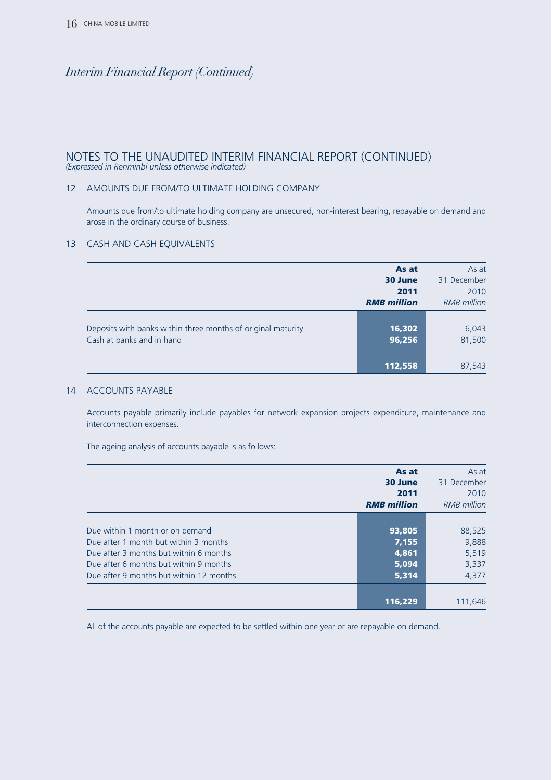#### NOTES TO THE UNAUDITED INTERIM FINANCIAL REPORT (CONTINUED) *(Expressed in Renminbi unless otherwise indicated)*

#### 12 AMOUNTS DUE FROM/TO ULTIMATE HOLDING COMPANY

Amounts due from/to ultimate holding company are unsecured, non-interest bearing, repayable on demand and arose in the ordinary course of business.

#### 13 CASH AND CASH EQUIVALENTS

|                                                                                           | As at<br>30 June<br>2011<br><b>RMB</b> million | As at<br>31 December<br>2010<br><b>RMB</b> million |
|-------------------------------------------------------------------------------------------|------------------------------------------------|----------------------------------------------------|
| Deposits with banks within three months of original maturity<br>Cash at banks and in hand | 16,302<br>96,256                               | 6,043<br>81,500                                    |
|                                                                                           | 112,558                                        | 87,543                                             |

#### 14 ACCOUNTS PAYABLE

Accounts payable primarily include payables for network expansion projects expenditure, maintenance and interconnection expenses.

The ageing analysis of accounts payable is as follows:

|                                         | As at<br>30 June<br>2011<br><b>RMB</b> million | As at<br>31 December<br>2010<br>RMB million |
|-----------------------------------------|------------------------------------------------|---------------------------------------------|
|                                         |                                                |                                             |
| Due within 1 month or on demand         | 93,805                                         | 88,525                                      |
| Due after 1 month but within 3 months   | 7,155                                          | 9,888                                       |
| Due after 3 months but within 6 months  | 4,861                                          | 5,519                                       |
| Due after 6 months but within 9 months  | 5.094                                          | 3,337                                       |
| Due after 9 months but within 12 months | 5,314                                          | 4,377                                       |
|                                         |                                                |                                             |
|                                         | 116,229                                        | 111,646                                     |

All of the accounts payable are expected to be settled within one year or are repayable on demand.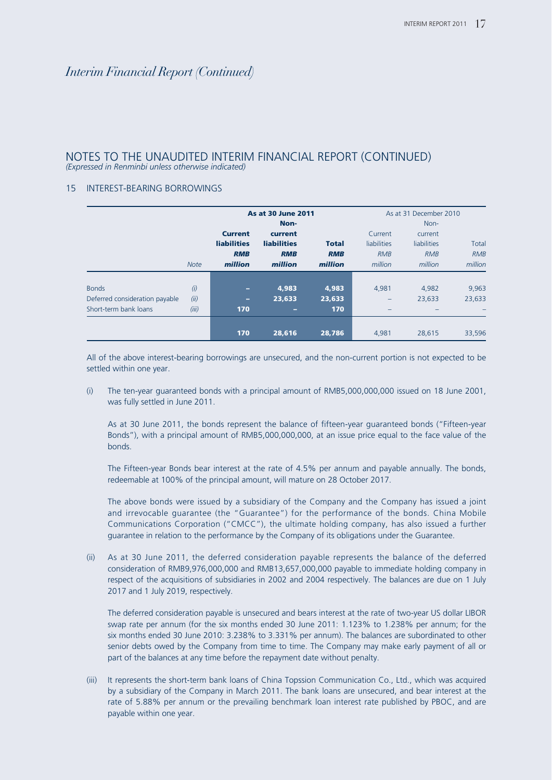#### NOTES TO THE UNAUDITED INTERIM FINANCIAL REPORT (CONTINUED) *(Expressed in Renminbi unless otherwise indicated)*

#### 15 INTEREST-BEARING BORROWINGS

|                                |             |                    | <b>As at 30 June 2011</b> |              |             | As at 31 December 2010 |            |
|--------------------------------|-------------|--------------------|---------------------------|--------------|-------------|------------------------|------------|
|                                |             |                    | Non-                      |              |             | Non-                   |            |
|                                |             | <b>Current</b>     | current                   |              | Current     | current                |            |
|                                |             | <b>liabilities</b> | <b>liabilities</b>        | <b>Total</b> | liabilities | <b>liabilities</b>     | Total      |
|                                |             | <b>RMB</b>         | <b>RMB</b>                | <b>RMB</b>   | <b>RMB</b>  | <b>RMB</b>             | <b>RMB</b> |
|                                | <b>Note</b> | million            | million                   | million      | million     | million                | million    |
|                                |             |                    |                           |              |             |                        |            |
| <b>Bonds</b>                   | (i)         | ٠                  | 4.983                     | 4.983        | 4,981       | 4,982                  | 9,963      |
| Deferred consideration payable | (ii)        | -                  | 23,633                    | 23,633       | -           | 23,633                 | 23,633     |
| Short-term bank loans          | (iii)       | 170                | -                         | 170          |             |                        |            |
|                                |             |                    |                           |              |             |                        |            |
|                                |             | 170                | 28,616                    | 28,786       | 4,981       | 28,615                 | 33,596     |

All of the above interest-bearing borrowings are unsecured, and the non-current portion is not expected to be settled within one year.

(i) The ten-year guaranteed bonds with a principal amount of RMB5,000,000,000 issued on 18 June 2001, was fully settled in June 2011.

As at 30 June 2011, the bonds represent the balance of fifteen-year guaranteed bonds ("Fifteen-year Bonds"), with a principal amount of RMB5,000,000,000, at an issue price equal to the face value of the bonds.

The Fifteen-year Bonds bear interest at the rate of 4.5% per annum and payable annually. The bonds, redeemable at 100% of the principal amount, will mature on 28 October 2017.

The above bonds were issued by a subsidiary of the Company and the Company has issued a joint and irrevocable guarantee (the "Guarantee") for the performance of the bonds. China Mobile Communications Corporation ("CMCC"), the ultimate holding company, has also issued a further guarantee in relation to the performance by the Company of its obligations under the Guarantee.

(ii) As at 30 June 2011, the deferred consideration payable represents the balance of the deferred consideration of RMB9,976,000,000 and RMB13,657,000,000 payable to immediate holding company in respect of the acquisitions of subsidiaries in 2002 and 2004 respectively. The balances are due on 1 July 2017 and 1 July 2019, respectively.

The deferred consideration payable is unsecured and bears interest at the rate of two-year US dollar LIBOR swap rate per annum (for the six months ended 30 June 2011: 1.123% to 1.238% per annum; for the six months ended 30 June 2010: 3.238% to 3.331% per annum). The balances are subordinated to other senior debts owed by the Company from time to time. The Company may make early payment of all or part of the balances at any time before the repayment date without penalty.

(iii) It represents the short-term bank loans of China Topssion Communication Co., Ltd., which was acquired by a subsidiary of the Company in March 2011. The bank loans are unsecured, and bear interest at the rate of 5.88% per annum or the prevailing benchmark loan interest rate published by PBOC, and are payable within one year.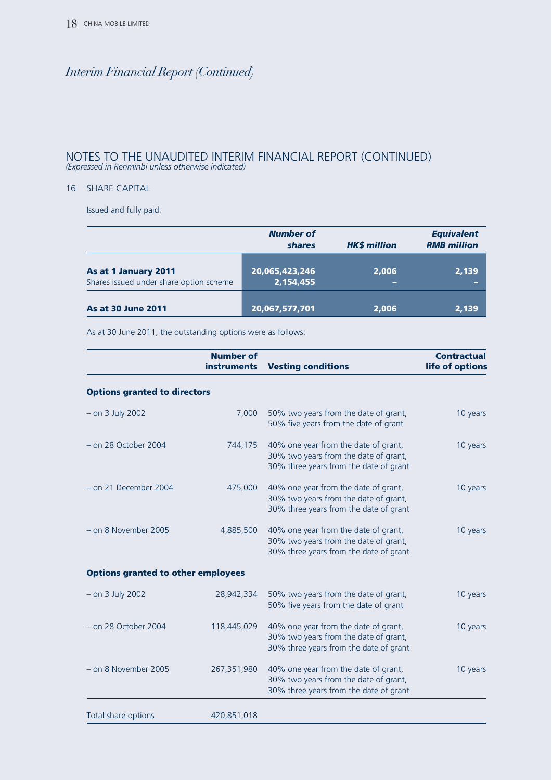#### NOTES TO THE UNAUDITED INTERIM FINANCIAL REPORT (CONTINUED) *(Expressed in Renminbi unless otherwise indicated)*

#### 16 SHARE CAPITAL

Issued and fully paid:

|                                                                 | <b>Number of</b><br><b>shares</b> | <b>HKS million</b> | <b>Equivalent</b><br><b>RMB</b> million |
|-----------------------------------------------------------------|-----------------------------------|--------------------|-----------------------------------------|
| As at 1 January 2011<br>Shares issued under share option scheme | 20,065,423,246<br>2,154,455       | 2,006<br>-         | 2,139                                   |
| <b>As at 30 June 2011</b>                                       | 20,067,577,701                    | 2,006              | 2,139                                   |

As at 30 June 2011, the outstanding options were as follows:

|                                           | <b>Number of</b><br><b>instruments</b> | <b>Vesting conditions</b>                                                                                               | <b>Contractual</b><br>life of options |
|-------------------------------------------|----------------------------------------|-------------------------------------------------------------------------------------------------------------------------|---------------------------------------|
| <b>Options granted to directors</b>       |                                        |                                                                                                                         |                                       |
| $-$ on 3 July 2002                        | 7,000                                  | 50% two years from the date of grant,<br>50% five years from the date of grant                                          | 10 years                              |
| $-$ on 28 October 2004                    | 744,175                                | 40% one year from the date of grant,<br>30% two years from the date of grant,<br>30% three years from the date of grant | 10 years                              |
| - on 21 December 2004                     | 475,000                                | 40% one year from the date of grant,<br>30% two years from the date of grant,<br>30% three years from the date of grant | 10 years                              |
| - on 8 November 2005                      | 4,885,500                              | 40% one year from the date of grant,<br>30% two years from the date of grant,<br>30% three years from the date of grant | 10 years                              |
| <b>Options granted to other employees</b> |                                        |                                                                                                                         |                                       |
| $-$ on 3 July 2002                        | 28,942,334                             | 50% two years from the date of grant,<br>50% five years from the date of grant                                          | 10 years                              |
| $-$ on 28 October 2004                    | 118,445,029                            | 40% one year from the date of grant,<br>30% two years from the date of grant,<br>30% three years from the date of grant | 10 years                              |
| - on 8 November 2005                      | 267,351,980                            | 40% one year from the date of grant,<br>30% two years from the date of grant,<br>30% three years from the date of grant | 10 years                              |
| Total share options                       | 420,851,018                            |                                                                                                                         |                                       |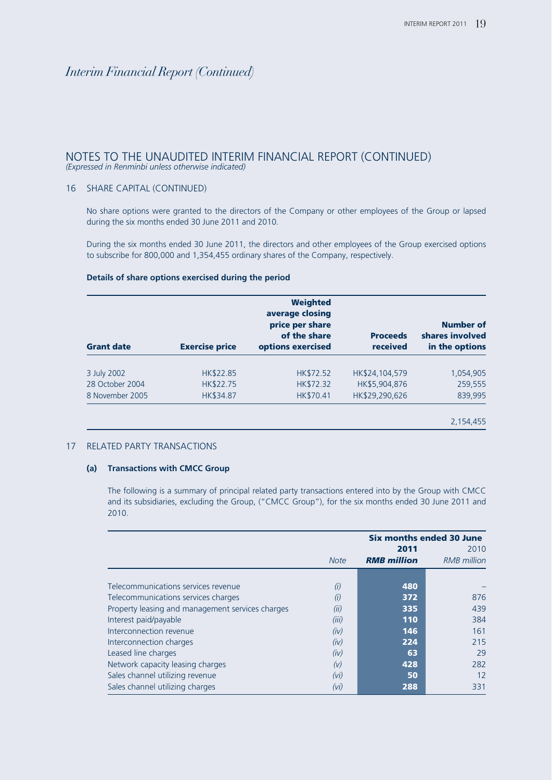#### NOTES TO THE UNAUDITED INTERIM FINANCIAL REPORT (CONTINUED) *(Expressed in Renminbi unless otherwise indicated)*

#### 16 SHARE CAPITAL (CONTINUED)

No share options were granted to the directors of the Company or other employees of the Group or lapsed during the six months ended 30 June 2011 and 2010.

During the six months ended 30 June 2011, the directors and other employees of the Group exercised options to subscribe for 800,000 and 1,354,455 ordinary shares of the Company, respectively.

#### **Details of share options exercised during the period**

| <b>Grant date</b> | <b>Exercise price</b> | <b>Weighted</b><br>average closing<br>price per share<br>of the share<br>options exercised | <b>Proceeds</b><br>received | <b>Number of</b><br>shares involved<br>in the options |
|-------------------|-----------------------|--------------------------------------------------------------------------------------------|-----------------------------|-------------------------------------------------------|
|                   |                       |                                                                                            |                             |                                                       |
| 3 July 2002       | HK\$22.85             | HK\$72.52                                                                                  | HK\$24,104,579              | 1,054,905                                             |
| 28 October 2004   | HK\$22.75             | HK\$72.32                                                                                  | HK\$5,904,876               | 259,555                                               |
| 8 November 2005   | HK\$34.87             | HK\$70.41                                                                                  | HK\$29,290,626              | 839,995                                               |
|                   |                       |                                                                                            |                             | 2.154.455                                             |

#### 17 RELATED PARTY TRANSACTIONS

#### **(a) Transactions with CMCC Group**

The following is a summary of principal related party transactions entered into by the Group with CMCC and its subsidiaries, excluding the Group, ("CMCC Group"), for the six months ended 30 June 2011 and 2010.

|                                                  | Six months ended 30 June |                    |                    |
|--------------------------------------------------|--------------------------|--------------------|--------------------|
|                                                  |                          | 2011               | 2010               |
|                                                  | <b>Note</b>              | <b>RMB</b> million | <b>RMB</b> million |
|                                                  |                          |                    |                    |
| Telecommunications services revenue              | (i)                      | 480                |                    |
| Telecommunications services charges              | $^{(1)}$                 | 372                | 876                |
| Property leasing and management services charges | (ii)                     | 335                | 439                |
| Interest paid/payable                            | (iii)                    | 110                | 384                |
| Interconnection revenue                          | (iv)                     | 146                | 161                |
| Interconnection charges                          | (iv)                     | 224                | 215                |
| Leased line charges                              | (iv)                     | 63                 | 29                 |
| Network capacity leasing charges                 | (V)                      | 428                | 282                |
| Sales channel utilizing revenue                  | (vi)                     | 50                 | 12                 |
| Sales channel utilizing charges                  | (vi)                     | 288                | 331                |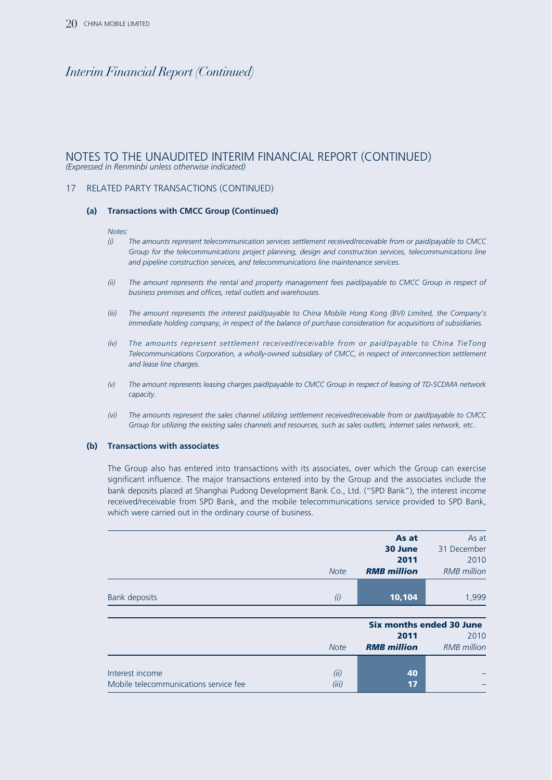#### NOTES TO THE UNAUDITED INTERIM FINANCIAL REPORT (CONTINUED) *(Expressed in Renminbi unless otherwise indicated)*

#### 17 RELATED PARTY TRANSACTIONS (CONTINUED)

#### **(a) Transactions with CMCC Group (Continued)**

#### *Notes:*

- *(i) The amounts represent telecommunication services settlement received/receivable from or paid/payable to CMCC Group for the telecommunications project planning, design and construction services, telecommunications line and pipeline construction services, and telecommunications line maintenance services.*
- *(ii) The amount represents the rental and property management fees paid/payable to CMCC Group in respect of business premises and offices, retail outlets and warehouses.*
- *(iii) The amount represents the interest paid/payable to China Mobile Hong Kong (BVI) Limited, the Company's immediate holding company, in respect of the balance of purchase consideration for acquisitions of subsidiaries.*
- *(iv) The amounts represent settlement received/receivable from or paid/payable to China TieTong Telecommunications Corporation, a wholly-owned subsidiary of CMCC, in respect of interconnection settlement and lease line charges.*
- *(v) The amount represents leasing charges paid/payable to CMCC Group in respect of leasing of TD-SCDMA network capacity.*
- *(vi) The amounts represent the sales channel utilizing settlement received/receivable from or paid/payable to CMCC Group for utilizing the existing sales channels and resources, such as sales outlets, internet sales network, etc..*

#### **(b) Transactions with associates**

The Group also has entered into transactions with its associates, over which the Group can exercise significant influence. The major transactions entered into by the Group and the associates include the bank deposits placed at Shanghai Pudong Development Bank Co., Ltd. ("SPD Bank"), the interest income received/receivable from SPD Bank, and the mobile telecommunications service provided to SPD Bank, which were carried out in the ordinary course of business.

|             | As at              | As at              |
|-------------|--------------------|--------------------|
|             | 30 June            | 31 December        |
|             | 2011               | 2010               |
| <b>Note</b> | <b>RMB</b> million | <b>RMB</b> million |
|             |                    |                    |
| (i)         | 10,104             | 1,999              |
|             |                    |                    |

|                                       |             | <b>Six months ended 30 June</b> |                    |
|---------------------------------------|-------------|---------------------------------|--------------------|
|                                       |             | 2011                            | 2010               |
|                                       | <b>Note</b> | <b>RMB</b> million              | <b>RMB</b> million |
|                                       |             |                                 |                    |
| Interest income                       | (ii)        | 40                              |                    |
| Mobile telecommunications service fee | (iii)       | 17                              |                    |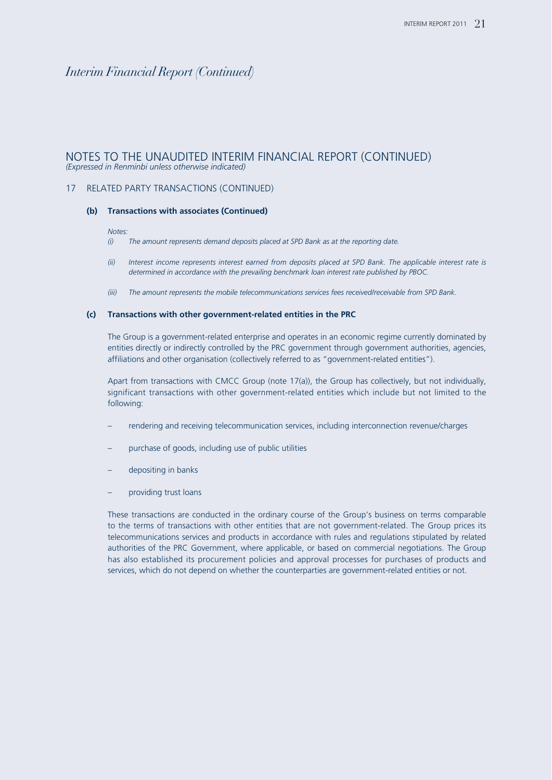#### NOTES TO THE UNAUDITED INTERIM FINANCIAL REPORT (CONTINUED) *(Expressed in Renminbi unless otherwise indicated)*

#### 17 RELATED PARTY TRANSACTIONS (CONTINUED)

#### **(b) Transactions with associates (Continued)**

#### *Notes:*

- *(i) The amount represents demand deposits placed at SPD Bank as at the reporting date.*
- *(ii) Interest income represents interest earned from deposits placed at SPD Bank. The applicable interest rate is determined in accordance with the prevailing benchmark loan interest rate published by PBOC.*
- *(iii) The amount represents the mobile telecommunications services fees received/receivable from SPD Bank.*

#### **(c) Transactions with other government-related entities in the PRC**

The Group is a government-related enterprise and operates in an economic regime currently dominated by entities directly or indirectly controlled by the PRC government through government authorities, agencies, affiliations and other organisation (collectively referred to as "government-related entities").

Apart from transactions with CMCC Group (note 17(a)), the Group has collectively, but not individually, significant transactions with other government-related entities which include but not limited to the following:

- rendering and receiving telecommunication services, including interconnection revenue/charges
- purchase of goods, including use of public utilities
- depositing in banks
- providing trust loans

These transactions are conducted in the ordinary course of the Group's business on terms comparable to the terms of transactions with other entities that are not government-related. The Group prices its telecommunications services and products in accordance with rules and regulations stipulated by related authorities of the PRC Government, where applicable, or based on commercial negotiations. The Group has also established its procurement policies and approval processes for purchases of products and services, which do not depend on whether the counterparties are government-related entities or not.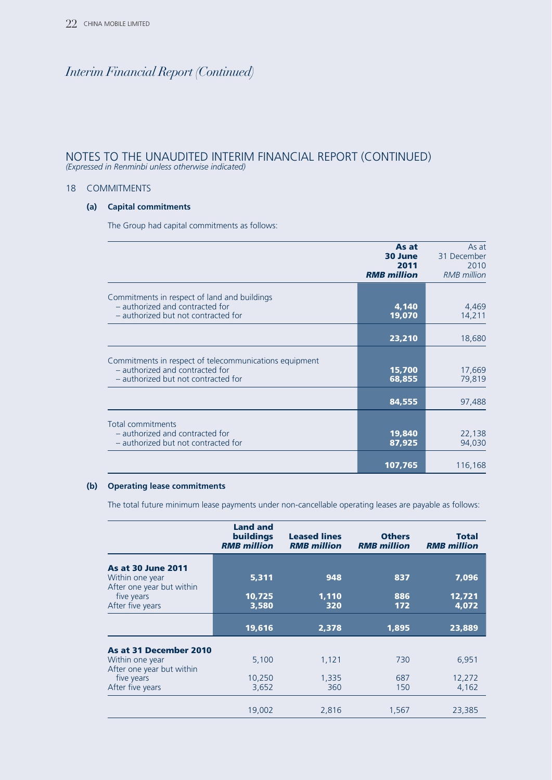#### NOTES TO THE UNAUDITED INTERIM FINANCIAL REPORT (CONTINUED) *(Expressed in Renminbi unless otherwise indicated)*

#### 18 COMMITMENTS

#### **(a) Capital commitments**

The Group had capital commitments as follows:

|                                                                                                                                  | As at<br>30 June<br>2011<br><b>RMB</b> million | As at<br>31 December<br>2010<br><b>RMB</b> million |
|----------------------------------------------------------------------------------------------------------------------------------|------------------------------------------------|----------------------------------------------------|
| Commitments in respect of land and buildings<br>- authorized and contracted for<br>- authorized but not contracted for           | 4,140<br>19,070                                | 4,469<br>14,211                                    |
|                                                                                                                                  | 23,210                                         | 18,680                                             |
| Commitments in respect of telecommunications equipment<br>- authorized and contracted for<br>- authorized but not contracted for | 15,700<br>68,855                               | 17,669<br>79,819                                   |
|                                                                                                                                  | 84,555                                         | 97,488                                             |
| <b>Total commitments</b><br>- authorized and contracted for<br>- authorized but not contracted for                               | 19,840<br>87,925                               | 22,138<br>94,030                                   |
|                                                                                                                                  | 107,765                                        | 116,168                                            |

#### **(b) Operating lease commitments**

The total future minimum lease payments under non-cancellable operating leases are payable as follows:

|                                                             | <b>Land and</b><br><b>buildings</b><br><b>RMB</b> million | <b>Leased lines</b><br><b>RMB</b> million | <b>Others</b><br><b>RMB</b> million | Total<br><b>RMB</b> million |
|-------------------------------------------------------------|-----------------------------------------------------------|-------------------------------------------|-------------------------------------|-----------------------------|
| <b>As at 30 June 2011</b>                                   |                                                           |                                           |                                     |                             |
| Within one year                                             | 5,311                                                     | 948                                       | 837                                 | 7,096                       |
| After one year but within<br>five years<br>After five years | 10,725<br>3,580                                           | 1,110<br>320                              | 886<br>172                          | 12,721<br>4,072             |
|                                                             | 19,616                                                    | 2,378                                     | 1,895                               | 23,889                      |
| As at 31 December 2010                                      |                                                           |                                           |                                     |                             |
| Within one year<br>After one year but within                | 5,100                                                     | 1,121                                     | 730                                 | 6,951                       |
| five years                                                  | 10,250                                                    | 1,335                                     | 687                                 | 12,272                      |
| After five years                                            | 3,652                                                     | 360                                       | 150                                 | 4,162                       |
|                                                             | 19,002                                                    | 2,816                                     | 1,567                               | 23,385                      |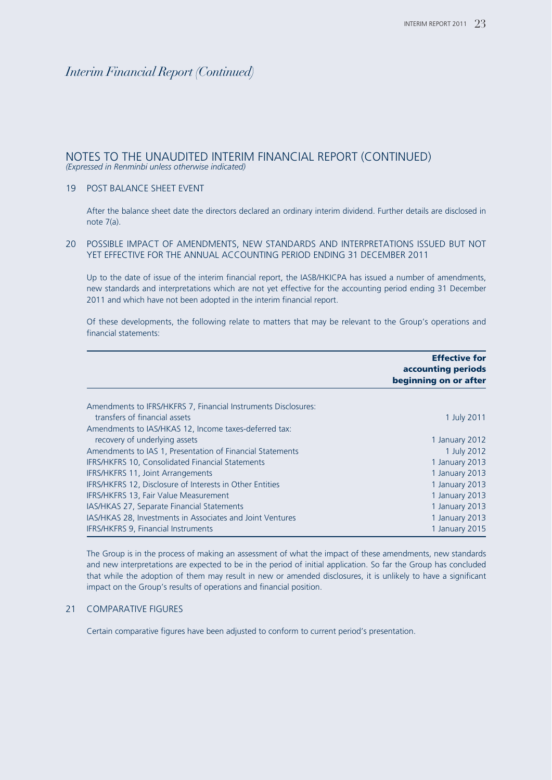#### NOTES TO THE UNAUDITED INTERIM FINANCIAL REPORT (CONTINUED) *(Expressed in Renminbi unless otherwise indicated)*

#### 19 POST BALANCE SHEET EVENT

After the balance sheet date the directors declared an ordinary interim dividend. Further details are disclosed in note 7(a).

#### 20 POSSIBLE IMPACT OF AMENDMENTS, NEW STANDARDS AND INTERPRETATIONS ISSUED BUT NOT YET EFFECTIVE FOR THE ANNUAL ACCOUNTING PERIOD ENDING 31 DECEMBER 2011

Up to the date of issue of the interim financial report, the IASB/HKICPA has issued a number of amendments, new standards and interpretations which are not yet effective for the accounting period ending 31 December 2011 and which have not been adopted in the interim financial report.

Of these developments, the following relate to matters that may be relevant to the Group's operations and financial statements:

|                                                                 | <b>Effective for</b><br>accounting periods<br>beginning on or after |
|-----------------------------------------------------------------|---------------------------------------------------------------------|
| Amendments to IFRS/HKFRS 7, Financial Instruments Disclosures:  |                                                                     |
| transfers of financial assets                                   | 1 July 2011                                                         |
| Amendments to IAS/HKAS 12, Income taxes-deferred tax:           |                                                                     |
| recovery of underlying assets                                   | 1 January 2012                                                      |
| Amendments to IAS 1, Presentation of Financial Statements       | 1 July 2012                                                         |
| <b>IFRS/HKFRS 10, Consolidated Financial Statements</b>         | 1 January 2013                                                      |
| <b>IFRS/HKFRS 11, Joint Arrangements</b>                        | 1 January 2013                                                      |
| <b>IFRS/HKFRS 12, Disclosure of Interests in Other Entities</b> | 1 January 2013                                                      |
| <b>IFRS/HKFRS 13, Fair Value Measurement</b>                    | 1 January 2013                                                      |
| IAS/HKAS 27, Separate Financial Statements                      | 1 January 2013                                                      |
| IAS/HKAS 28, Investments in Associates and Joint Ventures       | 1 January 2013                                                      |
| IFRS/HKFRS 9, Financial Instruments                             | 1 January 2015                                                      |

The Group is in the process of making an assessment of what the impact of these amendments, new standards and new interpretations are expected to be in the period of initial application. So far the Group has concluded that while the adoption of them may result in new or amended disclosures, it is unlikely to have a significant impact on the Group's results of operations and financial position.

#### 21 COMPARATIVE FIGURES

Certain comparative figures have been adjusted to conform to current period's presentation.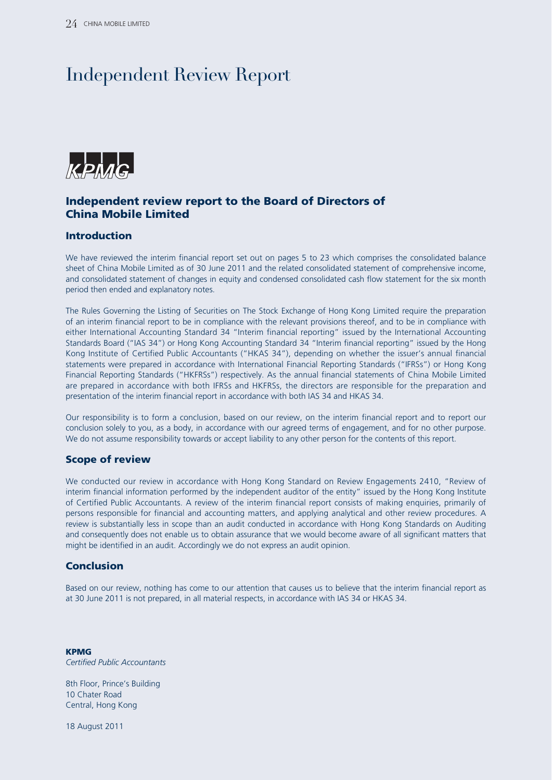# Independent Review Report



### **Independent review report to the Board of Directors of China Mobile Limited**

#### **Introduction**

We have reviewed the interim financial report set out on pages 5 to 23 which comprises the consolidated balance sheet of China Mobile Limited as of 30 June 2011 and the related consolidated statement of comprehensive income, and consolidated statement of changes in equity and condensed consolidated cash flow statement for the six month period then ended and explanatory notes.

The Rules Governing the Listing of Securities on The Stock Exchange of Hong Kong Limited require the preparation of an interim financial report to be in compliance with the relevant provisions thereof, and to be in compliance with either International Accounting Standard 34 "Interim financial reporting" issued by the International Accounting Standards Board ("IAS 34") or Hong Kong Accounting Standard 34 "Interim financial reporting" issued by the Hong Kong Institute of Certified Public Accountants ("HKAS 34"), depending on whether the issuer's annual financial statements were prepared in accordance with International Financial Reporting Standards ("IFRSs") or Hong Kong Financial Reporting Standards ("HKFRSs") respectively. As the annual financial statements of China Mobile Limited are prepared in accordance with both IFRSs and HKFRSs, the directors are responsible for the preparation and presentation of the interim financial report in accordance with both IAS 34 and HKAS 34.

Our responsibility is to form a conclusion, based on our review, on the interim financial report and to report our conclusion solely to you, as a body, in accordance with our agreed terms of engagement, and for no other purpose. We do not assume responsibility towards or accept liability to any other person for the contents of this report.

#### **Scope of review**

We conducted our review in accordance with Hong Kong Standard on Review Engagements 2410, "Review of interim financial information performed by the independent auditor of the entity" issued by the Hong Kong Institute of Certified Public Accountants. A review of the interim financial report consists of making enquiries, primarily of persons responsible for financial and accounting matters, and applying analytical and other review procedures. A review is substantially less in scope than an audit conducted in accordance with Hong Kong Standards on Auditing and consequently does not enable us to obtain assurance that we would become aware of all significant matters that might be identified in an audit. Accordingly we do not express an audit opinion.

#### **Conclusion**

Based on our review, nothing has come to our attention that causes us to believe that the interim financial report as at 30 June 2011 is not prepared, in all material respects, in accordance with IAS 34 or HKAS 34.

**KPMG** *Certified Public Accountants*

8th Floor, Prince's Building 10 Chater Road Central, Hong Kong

18 August 2011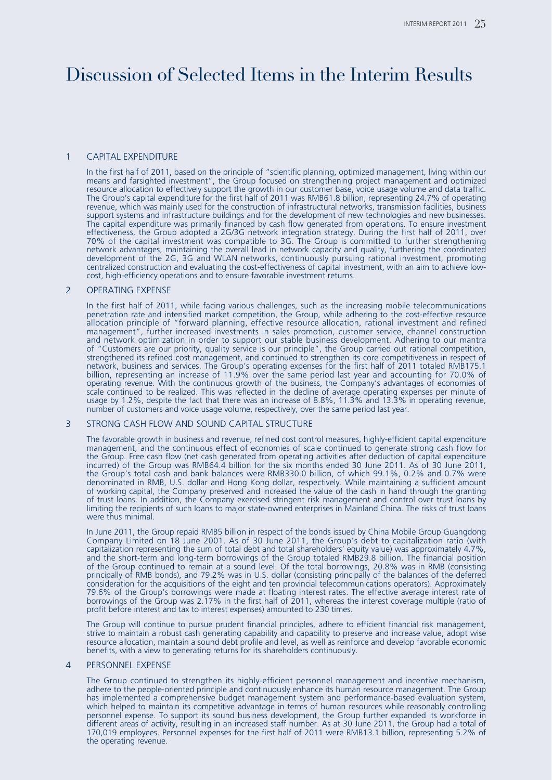# Discussion of Selected Items in the Interim Results

#### 1 CAPITAL EXPENDITURE

In the first half of 2011, based on the principle of "scientific planning, optimized management, living within our means and farsighted investment", the Group focused on strengthening project management and optimized resource allocation to effectively support the growth in our customer base, voice usage volume and data traffic. The Group's capital expenditure for the first half of 2011 was RMB61.8 billion, representing 24.7% of operating revenue, which was mainly used for the construction of infrastructural networks, transmission facilities, business support systems and infrastructure buildings and for the development of new technologies and new businesses. The capital expenditure was primarily financed by cash flow generated from operations. To ensure investment effectiveness, the Group adopted a 2G/3G network integration strategy. During the first half of 2011, over 70% of the capital investment was compatible to 3G. The Group is committed to further strengthening network advantages, maintaining the overall lead in network capacity and quality, furthering the coordinated development of the 2G, 3G and WLAN networks, continuously pursuing rational investment, promoting centralized construction and evaluating the cost-effectiveness of capital investment, with an aim to achieve lowcost, high-efficiency operations and to ensure favorable investment returns.

#### 2 OPERATING EXPENSE

In the first half of 2011, while facing various challenges, such as the increasing mobile telecommunications penetration rate and intensified market competition, the Group, while adhering to the cost-effective resource allocation principle of "forward planning, effective resource allocation, rational investment and refined management", further increased investments in sales promotion, customer service, channel construction and network optimization in order to support our stable business development. Adhering to our mantra of "Customers are our priority, quality service is our principle", the Group carried out rational competition, strengthened its refined cost management, and continued to strengthen its core competitiveness in respect of network, business and services. The Group's operating expenses for the first half of 2011 totaled RMB175.1 billion, representing an increase of 11.9% over the same period last year and accounting for 70.0% of operating revenue. With the continuous growth of the business, the Company's advantages of economies of scale continued to be realized. This was reflected in the decline of average operating expenses per minute of usage by 1.2%, despite the fact that there was an increase of 8.8%, 11.3% and 13.3% in operating revenue, number of customers and voice usage volume, respectively, over the same period last year.

#### 3 STRONG CASH FLOW AND SOUND CAPITAL STRUCTURE

The favorable growth in business and revenue, refined cost control measures, highly-efficient capital expenditure management, and the continuous effect of economies of scale continued to generate strong cash flow for the Group. Free cash flow (net cash generated from operating activities after deduction of capital expenditure incurred) of the Group was RMB64.4 billion for the six months ended 30 June 2011. As of 30 June 2011, the Group's total cash and bank balances were RMB330.0 billion, of which 99.1%, 0.2% and 0.7% were denominated in RMB, U.S. dollar and Hong Kong dollar, respectively. While maintaining a sufficient amount of working capital, the Company preserved and increased the value of the cash in hand through the granting of trust loans. In addition, the Company exercised stringent risk management and control over trust loans by limiting the recipients of such loans to major state-owned enterprises in Mainland China. The risks of trust loans were thus minimal.

In June 2011, the Group repaid RMB5 billion in respect of the bonds issued by China Mobile Group Guangdong Company Limited on 18 June 2001. As of 30 June 2011, the Group's debt to capitalization ratio (with capitalization representing the sum of total debt and total shareholders' equity value) was approximately 4.7%, and the short-term and long-term borrowings of the Group totaled RMB29.8 billion. The financial position of the Group continued to remain at a sound level. Of the total borrowings, 20.8% was in RMB (consisting principally of RMB bonds), and 79.2% was in U.S. dollar (consisting principally of the balances of the deferred consideration for the acquisitions of the eight and ten provincial telecommunications operators). Approximately 79.6% of the Group's borrowings were made at floating interest rates. The effective average interest rate of borrowings of the Group was 2.17% in the first half of 2011, whereas the interest coverage multiple (ratio of profit before interest and tax to interest expenses) amounted to 230 times.

The Group will continue to pursue prudent financial principles, adhere to efficient financial risk management, strive to maintain a robust cash generating capability and capability to preserve and increase value, adopt wise resource allocation, maintain a sound debt profile and level, as well as reinforce and develop favorable economic benefits, with a view to generating returns for its shareholders continuously.

#### 4 PERSONNEL EXPENSE

The Group continued to strengthen its highly-efficient personnel management and incentive mechanism, adhere to the people-oriented principle and continuously enhance its human resource management. The Group has implemented a comprehensive budget management system and performance-based evaluation system, which helped to maintain its competitive advantage in terms of human resources while reasonably controlling personnel expense. To support its sound business development, the Group further expanded its workforce in different areas of activity, resulting in an increased staff number. As at 30 June 2011, the Group had a total of 170,019 employees. Personnel expenses for the first half of 2011 were RMB13.1 billion, representing 5.2% of the operating revenue.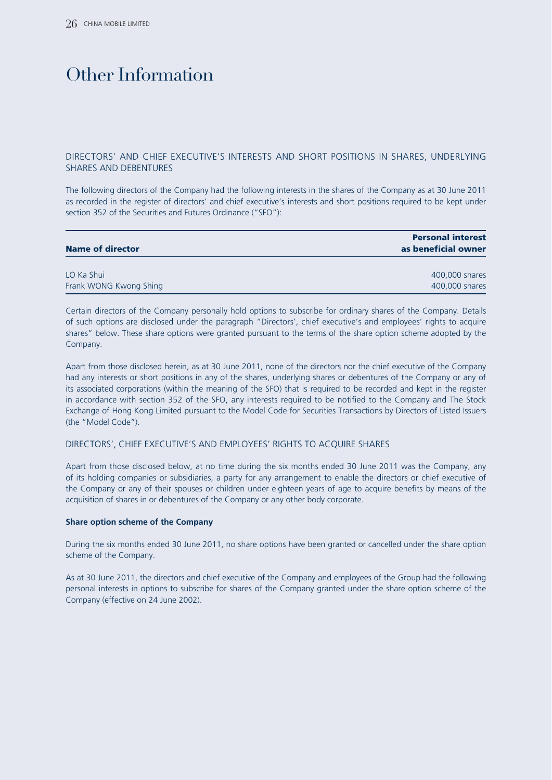# Other Information

#### DIRECTORS' AND CHIEF EXECUTIVE'S INTERESTS AND SHORT POSITIONS IN SHARES, UNDERLYING SHARES AND DEBENTURES

The following directors of the Company had the following interests in the shares of the Company as at 30 June 2011 as recorded in the register of directors' and chief executive's interests and short positions required to be kept under section 352 of the Securities and Futures Ordinance ("SFO"):

| <b>Name of director</b> | <b>Personal interest</b><br>as beneficial owner |
|-------------------------|-------------------------------------------------|
| LO Ka Shui              | 400,000 shares                                  |
| Frank WONG Kwong Shing  | 400,000 shares                                  |

Certain directors of the Company personally hold options to subscribe for ordinary shares of the Company. Details of such options are disclosed under the paragraph "Directors', chief executive's and employees' rights to acquire shares" below. These share options were granted pursuant to the terms of the share option scheme adopted by the Company.

Apart from those disclosed herein, as at 30 June 2011, none of the directors nor the chief executive of the Company had any interests or short positions in any of the shares, underlying shares or debentures of the Company or any of its associated corporations (within the meaning of the SFO) that is required to be recorded and kept in the register in accordance with section 352 of the SFO, any interests required to be notified to the Company and The Stock Exchange of Hong Kong Limited pursuant to the Model Code for Securities Transactions by Directors of Listed Issuers (the "Model Code").

#### DIRECTORS', CHIEF EXECUTIVE'S AND EMPLOYEES' RIGHTS TO ACQUIRE SHARES

Apart from those disclosed below, at no time during the six months ended 30 June 2011 was the Company, any of its holding companies or subsidiaries, a party for any arrangement to enable the directors or chief executive of the Company or any of their spouses or children under eighteen years of age to acquire benefits by means of the acquisition of shares in or debentures of the Company or any other body corporate.

#### **Share option scheme of the Company**

During the six months ended 30 June 2011, no share options have been granted or cancelled under the share option scheme of the Company.

As at 30 June 2011, the directors and chief executive of the Company and employees of the Group had the following personal interests in options to subscribe for shares of the Company granted under the share option scheme of the Company (effective on 24 June 2002).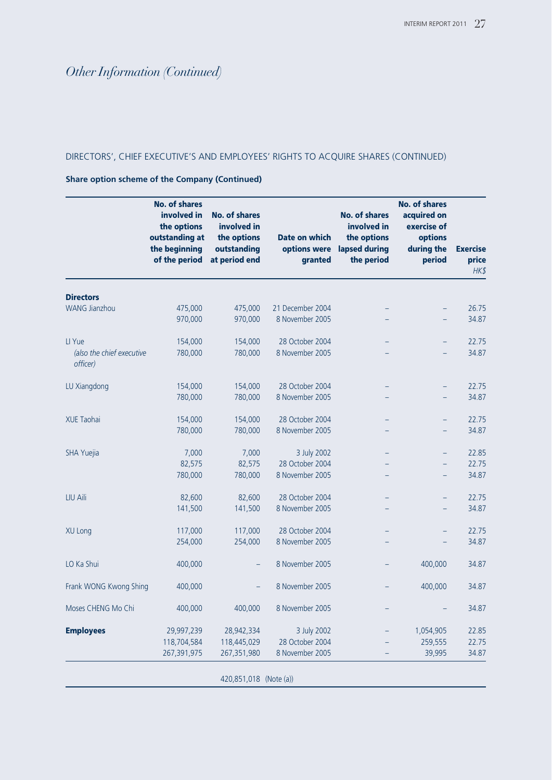#### DIRECTORS', CHIEF EXECUTIVE'S AND EMPLOYEES' RIGHTS TO ACQUIRE SHARES (CONTINUED)

#### **Share option scheme of the Company (Continued)**

|                                       | <b>No. of shares</b><br>involved in<br>the options<br>outstanding at<br>the beginning<br>of the period | <b>No. of shares</b><br>involved in<br>the options<br>outstanding<br>at period end | Date on which<br>options were<br>granted | <b>No. of shares</b><br>involved in<br>the options<br>lapsed during<br>the period | <b>No. of shares</b><br>acquired on<br>exercise of<br>options<br>during the<br>period | <b>Exercise</b><br>price<br>HK\$ |
|---------------------------------------|--------------------------------------------------------------------------------------------------------|------------------------------------------------------------------------------------|------------------------------------------|-----------------------------------------------------------------------------------|---------------------------------------------------------------------------------------|----------------------------------|
| <b>Directors</b>                      |                                                                                                        |                                                                                    |                                          |                                                                                   |                                                                                       |                                  |
| <b>WANG Jianzhou</b>                  | 475,000                                                                                                | 475,000                                                                            | 21 December 2004                         |                                                                                   |                                                                                       | 26.75                            |
|                                       | 970,000                                                                                                | 970,000                                                                            | 8 November 2005                          |                                                                                   |                                                                                       | 34.87                            |
| LI Yue                                | 154,000                                                                                                | 154,000                                                                            | 28 October 2004                          |                                                                                   |                                                                                       | 22.75                            |
| (also the chief executive<br>officer) | 780,000                                                                                                | 780,000                                                                            | 8 November 2005                          |                                                                                   |                                                                                       | 34.87                            |
| LU Xiangdong                          | 154,000                                                                                                | 154,000                                                                            | 28 October 2004                          |                                                                                   |                                                                                       | 22.75                            |
|                                       | 780,000                                                                                                | 780,000                                                                            | 8 November 2005                          |                                                                                   |                                                                                       | 34.87                            |
| XUE Taohai                            | 154,000                                                                                                | 154,000                                                                            | 28 October 2004                          |                                                                                   |                                                                                       | 22.75                            |
|                                       | 780,000                                                                                                | 780,000                                                                            | 8 November 2005                          |                                                                                   |                                                                                       | 34.87                            |
| SHA Yuejia                            | 7,000                                                                                                  | 7,000                                                                              | 3 July 2002                              |                                                                                   |                                                                                       | 22.85                            |
|                                       | 82,575                                                                                                 | 82,575                                                                             | 28 October 2004                          |                                                                                   |                                                                                       | 22.75                            |
|                                       | 780,000                                                                                                | 780,000                                                                            | 8 November 2005                          |                                                                                   |                                                                                       | 34.87                            |
| LIU Aili                              | 82,600                                                                                                 | 82,600                                                                             | 28 October 2004                          |                                                                                   | $\qquad \qquad -$                                                                     | 22.75                            |
|                                       | 141,500                                                                                                | 141,500                                                                            | 8 November 2005                          |                                                                                   |                                                                                       | 34.87                            |
| <b>XU Long</b>                        | 117,000                                                                                                | 117,000                                                                            | 28 October 2004                          |                                                                                   | $\qquad \qquad -$                                                                     | 22.75                            |
|                                       | 254,000                                                                                                | 254,000                                                                            | 8 November 2005                          |                                                                                   |                                                                                       | 34.87                            |
| LO Ka Shui                            | 400,000                                                                                                | -                                                                                  | 8 November 2005                          |                                                                                   | 400,000                                                                               | 34.87                            |
| Frank WONG Kwong Shing                | 400,000                                                                                                | -                                                                                  | 8 November 2005                          |                                                                                   | 400,000                                                                               | 34.87                            |
| Moses CHENG Mo Chi                    | 400,000                                                                                                | 400,000                                                                            | 8 November 2005                          |                                                                                   |                                                                                       | 34.87                            |
| <b>Employees</b>                      | 29,997,239                                                                                             | 28,942,334                                                                         | 3 July 2002                              |                                                                                   | 1,054,905                                                                             | 22.85                            |
|                                       | 118,704,584                                                                                            | 118,445,029                                                                        | 28 October 2004                          |                                                                                   | 259,555                                                                               | 22.75                            |
|                                       | 267,391,975                                                                                            | 267,351,980                                                                        | 8 November 2005                          |                                                                                   | 39,995                                                                                | 34.87                            |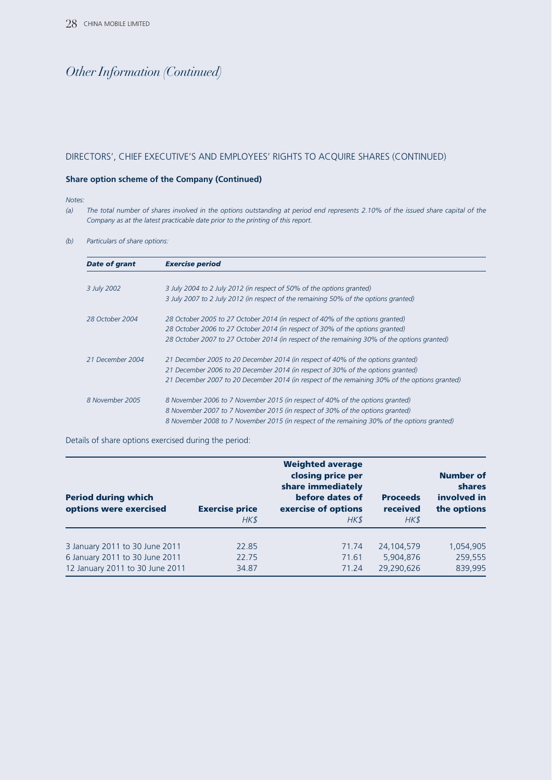#### DIRECTORS', CHIEF EXECUTIVE'S AND EMPLOYEES' RIGHTS TO ACQUIRE SHARES (CONTINUED)

#### **Share option scheme of the Company (Continued)**

#### *Notes:*

*(a) The total number of shares involved in the options outstanding at period end represents 2.10% of the issued share capital of the Company as at the latest practicable date prior to the printing of this report.*

*(b) Particulars of share options:*

| <b>Date of grant</b> | <b>Exercise period</b>                                                                        |
|----------------------|-----------------------------------------------------------------------------------------------|
|                      |                                                                                               |
| 3 July 2002          | 3 July 2004 to 2 July 2012 (in respect of 50% of the options granted)                         |
|                      | 3 July 2007 to 2 July 2012 (in respect of the remaining 50% of the options granted)           |
| 28 October 2004      | 28 October 2005 to 27 October 2014 (in respect of 40% of the options granted)                 |
|                      | 28 October 2006 to 27 October 2014 (in respect of 30% of the options granted)                 |
|                      | 28 October 2007 to 27 October 2014 (in respect of the remaining 30% of the options granted)   |
| 21 December 2004     | 21 December 2005 to 20 December 2014 (in respect of 40% of the options granted)               |
|                      | 21 December 2006 to 20 December 2014 (in respect of 30% of the options granted)               |
|                      | 21 December 2007 to 20 December 2014 (in respect of the remaining 30% of the options granted) |
| 8 November 2005      | 8 November 2006 to 7 November 2015 (in respect of 40% of the options granted)                 |
|                      | 8 November 2007 to 7 November 2015 (in respect of 30% of the options granted)                 |
|                      | 8 November 2008 to 7 November 2015 (in respect of the remaining 30% of the options granted)   |

Details of share options exercised during the period:

| <b>Period during which</b><br>options were exercised | <b>Exercise price</b><br>HK\$ | <b>Weighted average</b><br>closing price per<br>share immediately<br>before dates of<br>exercise of options<br>HK\$ | <b>Proceeds</b><br>received<br>HK\$ | <b>Number of</b><br><b>shares</b><br>involved in<br>the options |  |
|------------------------------------------------------|-------------------------------|---------------------------------------------------------------------------------------------------------------------|-------------------------------------|-----------------------------------------------------------------|--|
| 3 January 2011 to 30 June 2011                       | 22.85                         | 71.74                                                                                                               | 24,104,579                          | 1,054,905                                                       |  |
| 6 January 2011 to 30 June 2011                       | 22.75                         | 71.61                                                                                                               | 5,904,876                           | 259,555                                                         |  |
| 12 January 2011 to 30 June 2011                      | 34.87                         | 71.24                                                                                                               | 29.290.626                          | 839,995                                                         |  |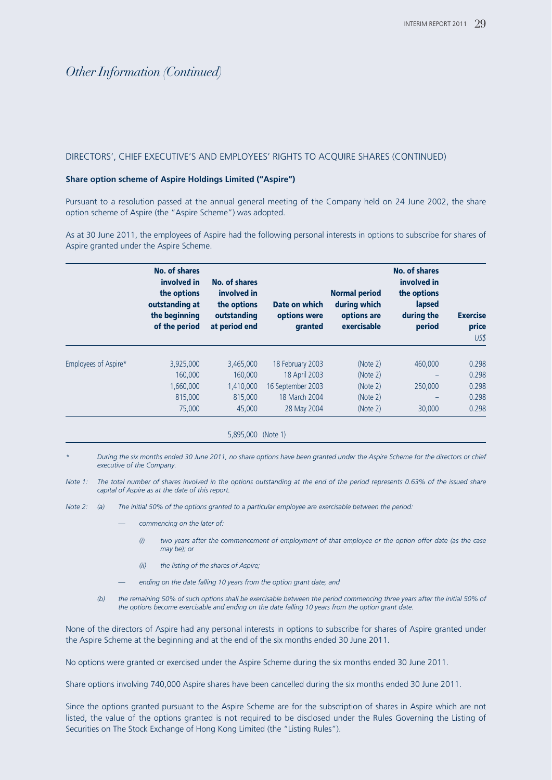#### DIRECTORS', CHIEF EXECUTIVE'S AND EMPLOYEES' RIGHTS TO ACQUIRE SHARES (CONTINUED)

#### **Share option scheme of Aspire Holdings Limited ("Aspire")**

Pursuant to a resolution passed at the annual general meeting of the Company held on 24 June 2002, the share option scheme of Aspire (the "Aspire Scheme") was adopted.

As at 30 June 2011, the employees of Aspire had the following personal interests in options to subscribe for shares of Aspire granted under the Aspire Scheme.

|                      | <b>No. of shares</b><br>involved in<br>the options<br>outstanding at<br>the beginning<br>of the period | No. of shares<br>involved in<br>the options<br>outstanding<br>at period end | Date on which<br>options were<br>granted | <b>Normal period</b><br>during which<br>options are<br>exercisable | <b>No. of shares</b><br>involved in<br>the options<br>lapsed<br>during the<br>period | <b>Exercise</b><br>price<br>US\$ |
|----------------------|--------------------------------------------------------------------------------------------------------|-----------------------------------------------------------------------------|------------------------------------------|--------------------------------------------------------------------|--------------------------------------------------------------------------------------|----------------------------------|
| Employees of Aspire* | 3,925,000                                                                                              | 3.465.000                                                                   | 18 February 2003                         | (Note 2)                                                           | 460,000                                                                              | 0.298                            |
|                      | 160,000                                                                                                | 160,000                                                                     | 18 April 2003                            | (Note 2)                                                           |                                                                                      | 0.298                            |
|                      | 1,660,000                                                                                              | 1,410,000                                                                   | 16 September 2003                        | (Note 2)                                                           | 250,000                                                                              | 0.298                            |
|                      | 815,000                                                                                                | 815,000                                                                     | 18 March 2004                            | (Note 2)                                                           | $\overline{\phantom{0}}$                                                             | 0.298                            |
|                      | 75,000                                                                                                 | 45,000                                                                      | 28 May 2004                              | (Note 2)                                                           | 30,000                                                                               | 0.298                            |

#### 5,895,000 (Note 1)

- *\* During the six months ended 30 June 2011, no share options have been granted under the Aspire Scheme for the directors or chief executive of the Company.*
- *Note 1: The total number of shares involved in the options outstanding at the end of the period represents 0.63% of the issued share capital of Aspire as at the date of this report.*

*Note 2: (a) The initial 50% of the options granted to a particular employee are exercisable between the period:*

- commencing on the later of:
	- *(i) two years after the commencement of employment of that employee or the option offer date (as the case may be); or*
	- *(ii) the listing of the shares of Aspire;*
- ending on the date falling 10 years from the option grant date; and
- *(b) the remaining 50% of such options shall be exercisable between the period commencing three years after the initial 50% of the options become exercisable and ending on the date falling 10 years from the option grant date.*

None of the directors of Aspire had any personal interests in options to subscribe for shares of Aspire granted under the Aspire Scheme at the beginning and at the end of the six months ended 30 June 2011.

No options were granted or exercised under the Aspire Scheme during the six months ended 30 June 2011.

Share options involving 740,000 Aspire shares have been cancelled during the six months ended 30 June 2011.

Since the options granted pursuant to the Aspire Scheme are for the subscription of shares in Aspire which are not listed, the value of the options granted is not required to be disclosed under the Rules Governing the Listing of Securities on The Stock Exchange of Hong Kong Limited (the "Listing Rules").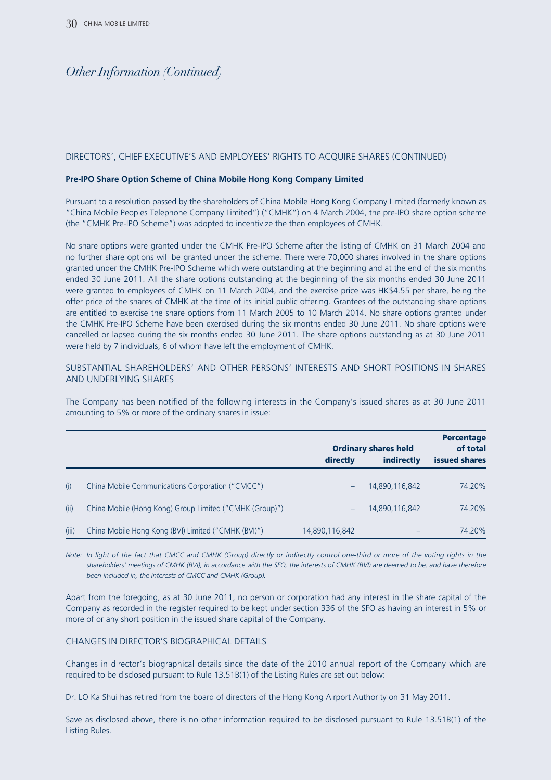#### DIRECTORS', CHIEF EXECUTIVE'S AND EMPLOYEES' RIGHTS TO ACQUIRE SHARES (CONTINUED)

#### **Pre-IPO Share Option Scheme of China Mobile Hong Kong Company Limited**

Pursuant to a resolution passed by the shareholders of China Mobile Hong Kong Company Limited (formerly known as "China Mobile Peoples Telephone Company Limited") ("CMHK") on 4 March 2004, the pre-IPO share option scheme (the "CMHK Pre-IPO Scheme") was adopted to incentivize the then employees of CMHK.

No share options were granted under the CMHK Pre-IPO Scheme after the listing of CMHK on 31 March 2004 and no further share options will be granted under the scheme. There were 70,000 shares involved in the share options granted under the CMHK Pre-IPO Scheme which were outstanding at the beginning and at the end of the six months ended 30 June 2011. All the share options outstanding at the beginning of the six months ended 30 June 2011 were granted to employees of CMHK on 11 March 2004, and the exercise price was HK\$4.55 per share, being the offer price of the shares of CMHK at the time of its initial public offering. Grantees of the outstanding share options are entitled to exercise the share options from 11 March 2005 to 10 March 2014. No share options granted under the CMHK Pre-IPO Scheme have been exercised during the six months ended 30 June 2011. No share options were cancelled or lapsed during the six months ended 30 June 2011. The share options outstanding as at 30 June 2011 were held by 7 individuals, 6 of whom have left the employment of CMHK.

#### SUBSTANTIAL SHAREHOLDERS' AND OTHER PERSONS' INTERESTS AND SHORT POSITIONS IN SHARES AND UNDERLYING SHARES

The Company has been notified of the following interests in the Company's issued shares as at 30 June 2011 amounting to 5% or more of the ordinary shares in issue:

|       |                                                         | <b>Ordinary shares held</b><br>directly<br>indirectly |                | <b>Percentage</b><br>of total<br><b>issued shares</b> |
|-------|---------------------------------------------------------|-------------------------------------------------------|----------------|-------------------------------------------------------|
| (i)   | China Mobile Communications Corporation ("CMCC")        |                                                       | 14,890,116,842 | 74.20%                                                |
| (ii)  | China Mobile (Hong Kong) Group Limited ("CMHK (Group)") |                                                       | 14,890,116,842 | 74.20%                                                |
| (iii) | China Mobile Hong Kong (BVI) Limited ("CMHK (BVI)")     | 14,890,116,842                                        |                | 74.20%                                                |

*Note: In light of the fact that CMCC and CMHK (Group) directly or indirectly control one-third or more of the voting rights in the shareholders' meetings of CMHK (BVI), in accordance with the SFO, the interests of CMHK (BVI) are deemed to be, and have therefore been included in, the interests of CMCC and CMHK (Group).*

Apart from the foregoing, as at 30 June 2011, no person or corporation had any interest in the share capital of the Company as recorded in the register required to be kept under section 336 of the SFO as having an interest in 5% or more of or any short position in the issued share capital of the Company.

#### CHANGES IN DIRECTOR'S BIOGRAPHICAL DETAILS

Changes in director's biographical details since the date of the 2010 annual report of the Company which are required to be disclosed pursuant to Rule 13.51B(1) of the Listing Rules are set out below:

Dr. LO Ka Shui has retired from the board of directors of the Hong Kong Airport Authority on 31 May 2011.

Save as disclosed above, there is no other information required to be disclosed pursuant to Rule 13.51B(1) of the Listing Rules.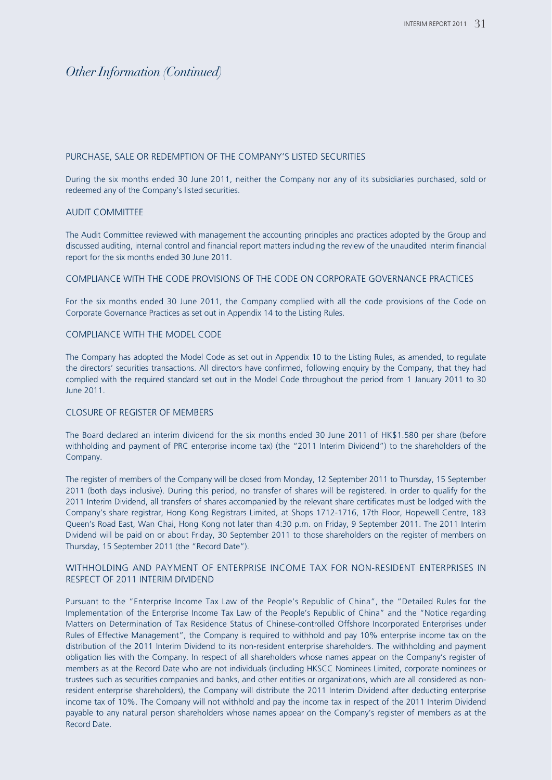#### PURCHASE, SALE OR REDEMPTION OF THE COMPANY'S LISTED SECURITIES

During the six months ended 30 June 2011, neither the Company nor any of its subsidiaries purchased, sold or redeemed any of the Company's listed securities.

#### AUDIT COMMITTEE

The Audit Committee reviewed with management the accounting principles and practices adopted by the Group and discussed auditing, internal control and financial report matters including the review of the unaudited interim financial report for the six months ended 30 June 2011.

#### COMPLIANCE WITH THE CODE PROVISIONS OF THE CODE ON CORPORATE GOVERNANCE PRACTICES

For the six months ended 30 June 2011, the Company complied with all the code provisions of the Code on Corporate Governance Practices as set out in Appendix 14 to the Listing Rules.

#### COMPLIANCE WITH THE MODEL CODE

The Company has adopted the Model Code as set out in Appendix 10 to the Listing Rules, as amended, to regulate the directors' securities transactions. All directors have confirmed, following enquiry by the Company, that they had complied with the required standard set out in the Model Code throughout the period from 1 January 2011 to 30 June 2011.

#### CLOSURE OF REGISTER OF MEMBERS

The Board declared an interim dividend for the six months ended 30 June 2011 of HK\$1.580 per share (before withholding and payment of PRC enterprise income tax) (the "2011 Interim Dividend") to the shareholders of the Company.

The register of members of the Company will be closed from Monday, 12 September 2011 to Thursday, 15 September 2011 (both days inclusive). During this period, no transfer of shares will be registered. In order to qualify for the 2011 Interim Dividend, all transfers of shares accompanied by the relevant share certificates must be lodged with the Company's share registrar, Hong Kong Registrars Limited, at Shops 1712-1716, 17th Floor, Hopewell Centre, 183 Queen's Road East, Wan Chai, Hong Kong not later than 4:30 p.m. on Friday, 9 September 2011. The 2011 Interim Dividend will be paid on or about Friday, 30 September 2011 to those shareholders on the register of members on Thursday, 15 September 2011 (the "Record Date").

#### WITHHOLDING AND PAYMENT OF ENTERPRISE INCOME TAX FOR NON-RESIDENT ENTERPRISES IN RESPECT OF 2011 INTERIM DIVIDEND

Pursuant to the "Enterprise Income Tax Law of the People's Republic of China", the "Detailed Rules for the Implementation of the Enterprise Income Tax Law of the People's Republic of China" and the "Notice regarding Matters on Determination of Tax Residence Status of Chinese-controlled Offshore Incorporated Enterprises under Rules of Effective Management", the Company is required to withhold and pay 10% enterprise income tax on the distribution of the 2011 Interim Dividend to its non-resident enterprise shareholders. The withholding and payment obligation lies with the Company. In respect of all shareholders whose names appear on the Company's register of members as at the Record Date who are not individuals (including HKSCC Nominees Limited, corporate nominees or trustees such as securities companies and banks, and other entities or organizations, which are all considered as nonresident enterprise shareholders), the Company will distribute the 2011 Interim Dividend after deducting enterprise income tax of 10%. The Company will not withhold and pay the income tax in respect of the 2011 Interim Dividend payable to any natural person shareholders whose names appear on the Company's register of members as at the Record Date.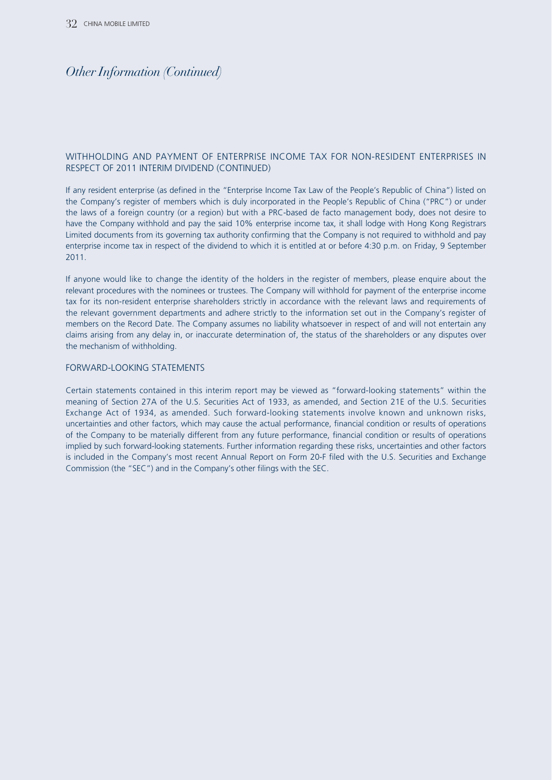#### WITHHOLDING AND PAYMENT OF ENTERPRISE INCOME TAX FOR NON-RESIDENT ENTERPRISES IN RESPECT OF 2011 INTERIM DIVIDEND (CONTINUED)

If any resident enterprise (as defined in the "Enterprise Income Tax Law of the People's Republic of China") listed on the Company's register of members which is duly incorporated in the People's Republic of China ("PRC") or under the laws of a foreign country (or a region) but with a PRC-based de facto management body, does not desire to have the Company withhold and pay the said 10% enterprise income tax, it shall lodge with Hong Kong Registrars Limited documents from its governing tax authority confirming that the Company is not required to withhold and pay enterprise income tax in respect of the dividend to which it is entitled at or before 4:30 p.m. on Friday, 9 September 2011.

If anyone would like to change the identity of the holders in the register of members, please enquire about the relevant procedures with the nominees or trustees. The Company will withhold for payment of the enterprise income tax for its non-resident enterprise shareholders strictly in accordance with the relevant laws and requirements of the relevant government departments and adhere strictly to the information set out in the Company's register of members on the Record Date. The Company assumes no liability whatsoever in respect of and will not entertain any claims arising from any delay in, or inaccurate determination of, the status of the shareholders or any disputes over the mechanism of withholding.

#### FORWARD-LOOKING STATEMENTS

Certain statements contained in this interim report may be viewed as "forward-looking statements" within the meaning of Section 27A of the U.S. Securities Act of 1933, as amended, and Section 21E of the U.S. Securities Exchange Act of 1934, as amended. Such forward-looking statements involve known and unknown risks, uncertainties and other factors, which may cause the actual performance, financial condition or results of operations of the Company to be materially different from any future performance, financial condition or results of operations implied by such forward-looking statements. Further information regarding these risks, uncertainties and other factors is included in the Company's most recent Annual Report on Form 20-F filed with the U.S. Securities and Exchange Commission (the "SEC") and in the Company's other filings with the SEC.